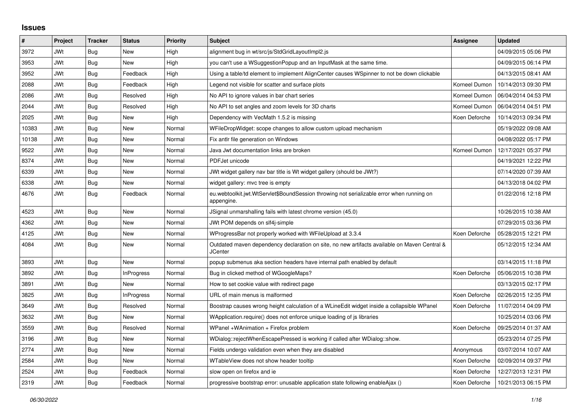## **Issues**

| #     | Project    | <b>Tracker</b> | <b>Status</b>     | <b>Priority</b> | <b>Subject</b>                                                                                          | Assignee      | <b>Updated</b>      |
|-------|------------|----------------|-------------------|-----------------|---------------------------------------------------------------------------------------------------------|---------------|---------------------|
| 3972  | JWt        | Bug            | <b>New</b>        | High            | alignment bug in wt/src/js/StdGridLayoutImpl2.js                                                        |               | 04/09/2015 05:06 PM |
| 3953  | <b>JWt</b> | Bug            | <b>New</b>        | High            | you can't use a WSuggestionPopup and an InputMask at the same time.                                     |               | 04/09/2015 06:14 PM |
| 3952  | JWt        | Bug            | Feedback          | High            | Using a table/td element to implement AlignCenter causes WSpinner to not be down clickable              |               | 04/13/2015 08:41 AM |
| 2088  | JWt        | Bug            | Feedback          | High            | Legend not visible for scatter and surface plots                                                        | Korneel Dumon | 10/14/2013 09:30 PM |
| 2086  | <b>JWt</b> | <b>Bug</b>     | Resolved          | High            | No API to ignore values in bar chart series                                                             | Korneel Dumon | 06/04/2014 04:53 PM |
| 2044  | <b>JWt</b> | Bug            | Resolved          | High            | No API to set angles and zoom levels for 3D charts                                                      | Korneel Dumon | 06/04/2014 04:51 PM |
| 2025  | JWt        | Bug            | <b>New</b>        | High            | Dependency with VecMath 1.5.2 is missing                                                                | Koen Deforche | 10/14/2013 09:34 PM |
| 10383 | <b>JWt</b> | <b>Bug</b>     | <b>New</b>        | Normal          | WFileDropWidget: scope changes to allow custom upload mechanism                                         |               | 05/19/2022 09:08 AM |
| 10138 | <b>JWt</b> | Bug            | <b>New</b>        | Normal          | Fix antlr file generation on Windows                                                                    |               | 04/08/2022 05:17 PM |
| 9522  | <b>JWt</b> | <b>Bug</b>     | <b>New</b>        | Normal          | Java Jwt documentation links are broken                                                                 | Korneel Dumon | 12/17/2021 05:37 PM |
| 8374  | JWt        | Bug            | <b>New</b>        | Normal          | PDFJet unicode                                                                                          |               | 04/19/2021 12:22 PM |
| 6339  | <b>JWt</b> | Bug            | <b>New</b>        | Normal          | JWt widget gallery nav bar title is Wt widget gallery (should be JWt?)                                  |               | 07/14/2020 07:39 AM |
| 6338  | JWt        | <b>Bug</b>     | <b>New</b>        | Normal          | widget gallery: mvc tree is empty                                                                       |               | 04/13/2018 04:02 PM |
| 4676  | <b>JWt</b> | <b>Bug</b>     | Feedback          | Normal          | eu.webtoolkit.jwt.WtServlet\$BoundSession throwing not serializable error when running on<br>appengine. |               | 01/22/2016 12:18 PM |
| 4523  | JWt        | Bug            | <b>New</b>        | Normal          | JSignal unmarshalling fails with latest chrome version (45.0)                                           |               | 10/26/2015 10:38 AM |
| 4362  | <b>JWt</b> | Bug            | <b>New</b>        | Normal          | JWt POM depends on slf4j-simple                                                                         |               | 07/29/2015 03:36 PM |
| 4125  | <b>JWt</b> | Bug            | <b>New</b>        | Normal          | WProgressBar not properly worked with WFileUpload at 3.3.4                                              | Koen Deforche | 05/28/2015 12:21 PM |
| 4084  | JWt        | Bug            | <b>New</b>        | Normal          | Outdated maven dependency declaration on site, no new artifacts available on Maven Central &<br>JCenter |               | 05/12/2015 12:34 AM |
| 3893  | JWt        | <b>Bug</b>     | <b>New</b>        | Normal          | popup submenus aka section headers have internal path enabled by default                                |               | 03/14/2015 11:18 PM |
| 3892  | <b>JWt</b> | Bug            | <b>InProgress</b> | Normal          | Bug in clicked method of WGoogleMaps?                                                                   | Koen Deforche | 05/06/2015 10:38 PM |
| 3891  | <b>JWt</b> | Bug            | New               | Normal          | How to set cookie value with redirect page                                                              |               | 03/13/2015 02:17 PM |
| 3825  | JWt        | Bug            | <b>InProgress</b> | Normal          | URL of main menus is malformed                                                                          | Koen Deforche | 02/26/2015 12:35 PM |
| 3649  | JWt        | Bug            | Resolved          | Normal          | Boostrap causes wrong height calculation of a WLineEdit widget inside a collapsible WPanel              | Koen Deforche | 11/07/2014 04:09 PM |
| 3632  | <b>JWt</b> | <b>Bug</b>     | New               | Normal          | WApplication.require() does not enforce unique loading of is libraries                                  |               | 10/25/2014 03:06 PM |
| 3559  | JWt        | Bug            | Resolved          | Normal          | WPanel +WAnimation + Firefox problem                                                                    | Koen Deforche | 09/25/2014 01:37 AM |
| 3196  | JWt        | Bug            | <b>New</b>        | Normal          | WDialog::rejectWhenEscapePressed is working if called after WDialog::show.                              |               | 05/23/2014 07:25 PM |
| 2774  | <b>JWt</b> | <b>Bug</b>     | <b>New</b>        | Normal          | Fields undergo validation even when they are disabled                                                   | Anonymous     | 03/07/2014 10:07 AM |
| 2584  | JWt        | Bug            | New               | Normal          | WTableView does not show header tooltip                                                                 | Koen Deforche | 02/09/2014 09:37 PM |
| 2524  | JWt        | <b>Bug</b>     | Feedback          | Normal          | slow open on firefox and ie                                                                             | Koen Deforche | 12/27/2013 12:31 PM |
| 2319  | <b>JWt</b> | <b>Bug</b>     | Feedback          | Normal          | progressive bootstrap error: unusable application state following enableAjax ()                         | Koen Deforche | 10/21/2013 06:15 PM |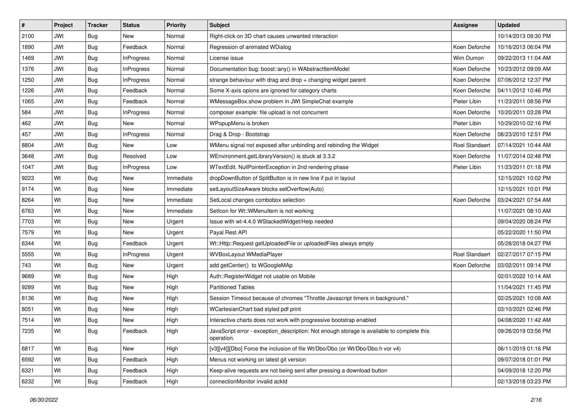| #    | Project    | <b>Tracker</b> | <b>Status</b>     | <b>Priority</b> | <b>Subject</b>                                                                                           | <b>Assignee</b>       | <b>Updated</b>      |
|------|------------|----------------|-------------------|-----------------|----------------------------------------------------------------------------------------------------------|-----------------------|---------------------|
| 2100 | <b>JWt</b> | Bug            | New               | Normal          | Right-click on 3D chart causes unwanted interaction                                                      |                       | 10/14/2013 09:30 PM |
| 1890 | <b>JWt</b> | Bug            | Feedback          | Normal          | Regression of animated WDialog                                                                           | Koen Deforche         | 10/16/2013 06:04 PM |
| 1469 | <b>JWt</b> | Bug            | InProgress        | Normal          | License issue                                                                                            | Wim Dumon             | 09/22/2013 11:04 AM |
| 1376 | <b>JWt</b> | Bug            | <b>InProgress</b> | Normal          | Documentation bug: boost::any() in WAbstractItemModel                                                    | Koen Deforche         | 10/23/2012 09:09 AM |
| 1250 | <b>JWt</b> | Bug            | InProgress        | Normal          | strange behaviour with drag and drop + changing widget parent                                            | Koen Deforche         | 07/06/2012 12:37 PM |
| 1226 | <b>JWt</b> | Bug            | Feedback          | Normal          | Some X-axis opions are ignored for category charts                                                       | Koen Deforche         | 04/11/2012 10:46 PM |
| 1065 | <b>JWt</b> | Bug            | Feedback          | Normal          | WMessageBox.show problem in JWt SimpleChat example                                                       | Pieter Libin          | 11/23/2011 08:56 PM |
| 584  | <b>JWt</b> | Bug            | InProgress        | Normal          | composer example: file upload is not concurrent                                                          | Koen Deforche         | 10/20/2011 03:28 PM |
| 462  | <b>JWt</b> | Bug            | New               | Normal          | WPopupMenu is broken                                                                                     | Pieter Libin          | 10/29/2010 02:16 PM |
| 457  | <b>JWt</b> | Bug            | <b>InProgress</b> | Normal          | Drag & Drop - Bootstrap                                                                                  | Koen Deforche         | 08/23/2010 12:51 PM |
| 8804 | <b>JWt</b> | Bug            | New               | Low             | WMenu signal not exposed after unbinding and rebinding the Widget                                        | <b>Roel Standaert</b> | 07/14/2021 10:44 AM |
| 3648 | <b>JWt</b> | Bug            | Resolved          | Low             | WEnvironment.getLibraryVersion() is stuck at 3.3.2                                                       | Koen Deforche         | 11/07/2014 02:48 PM |
| 1047 | <b>JWt</b> | Bug            | <b>InProgress</b> | Low             | WTextEdit. NullPointerException in 2nd rendering phase                                                   | Pieter Libin          | 11/23/2011 01:18 PM |
| 9223 | Wt         | Bug            | New               | Immediate       | dropDownButton of SplitButton is in new line if put in layout                                            |                       | 12/15/2021 10:02 PM |
| 9174 | Wt         | Bug            | <b>New</b>        | Immediate       | setLayoutSizeAware blocks setOverflow(Auto)                                                              |                       | 12/15/2021 10:01 PM |
| 8264 | Wt         | Bug            | New               | Immediate       | SetLocal changes combobox selection                                                                      | Koen Deforche         | 03/24/2021 07:54 AM |
| 6763 | Wt         | Bug            | <b>New</b>        | Immediate       | SetIcon for Wt:: WMenuItem is not working                                                                |                       | 11/07/2021 08:10 AM |
| 7703 | Wt         | Bug            | New               | Urgent          | Issue with wt-4.4.0 WStackedWidget/Help needed                                                           |                       | 09/04/2020 08:24 PM |
| 7579 | Wt         | <b>Bug</b>     | New               | Urgent          | Payal Rest API                                                                                           |                       | 05/22/2020 11:50 PM |
| 6344 | Wt         | Bug            | Feedback          | Urgent          | Wt::Http::Request getUploadedFile or uploadedFiles always empty                                          |                       | 05/28/2018 04:27 PM |
| 5555 | Wt         | Bug            | InProgress        | Urgent          | WVBoxLayout WMediaPlayer                                                                                 | <b>Roel Standaert</b> | 02/27/2017 07:15 PM |
| 743  | Wt         | Bug            | New               | Urgent          | add getCenter() to WGoogleMAp                                                                            | Koen Deforche         | 03/02/2011 09:14 PM |
| 9689 | Wt         | Bug            | New               | High            | Auth::RegisterWidget not usable on Mobile                                                                |                       | 02/01/2022 10:14 AM |
| 9289 | Wt         | <b>Bug</b>     | New               | High            | <b>Partitioned Tables</b>                                                                                |                       | 11/04/2021 11:45 PM |
| 8136 | Wt         | Bug            | New               | High            | Session Timeout because of chromes "Throttle Javascript timers in background."                           |                       | 02/25/2021 10:08 AM |
| 8051 | Wt         | Bug            | New               | High            | WCartesianChart bad styled pdf print                                                                     |                       | 03/10/2021 02:46 PM |
| 7514 | Wt         | Bug            | New               | High            | Interactive charts does not work with progressive bootstrap enabled                                      |                       | 04/08/2020 11:42 AM |
| 7235 | Wt         | Bug            | Feedback          | High            | JavaScript error - exception_description: Not enough storage is available to complete this<br>operation. |                       | 09/26/2019 03:56 PM |
| 6817 | Wt         | <b>Bug</b>     | New               | High            | [v3][v4]][Dbo] Force the inclusion of file Wt/Dbo/Dbo (or Wt/Dbo/Dbo.h vor v4)                           |                       | 06/11/2019 01:16 PM |
| 6592 | Wt         | <b>Bug</b>     | Feedback          | High            | Menus not working on latest git version                                                                  |                       | 09/07/2018 01:01 PM |
| 6321 | Wt         | <b>Bug</b>     | Feedback          | High            | Keep-alive requests are not being sent after pressing a download button                                  |                       | 04/09/2018 12:20 PM |
| 6232 | Wt         | <b>Bug</b>     | Feedback          | High            | connectionMonitor invalid ackId                                                                          |                       | 02/13/2018 03:23 PM |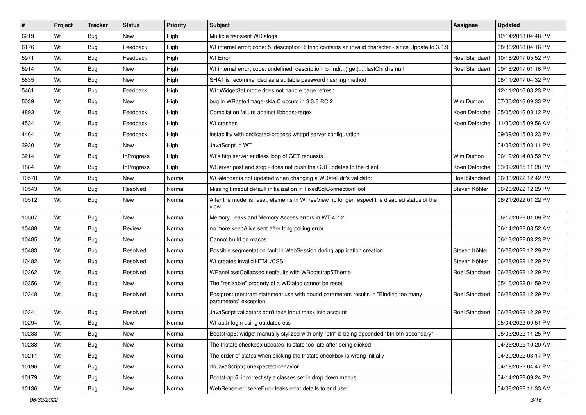| #     | Project | <b>Tracker</b> | <b>Status</b> | <b>Priority</b> | <b>Subject</b>                                                                                                | <b>Assignee</b>       | <b>Updated</b>      |
|-------|---------|----------------|---------------|-----------------|---------------------------------------------------------------------------------------------------------------|-----------------------|---------------------|
| 6219  | Wt      | Bug            | <b>New</b>    | High            | Multiple transient WDialogs                                                                                   |                       | 12/14/2018 04:48 PM |
| 6176  | Wt      | Bug            | Feedback      | High            | Wt internal error; code: 5, description: String contains an invalid character - since Update to 3.3.9         |                       | 08/30/2018 04:16 PM |
| 5971  | Wt      | Bug            | Feedback      | High            | Wt Error                                                                                                      | <b>Roel Standaert</b> | 10/18/2017 05:52 PM |
| 5914  | Wt      | Bug            | <b>New</b>    | High            | Wt internal error; code: undefined, description: b.find().get().lastChild is null                             | <b>Roel Standaert</b> | 09/18/2017 01:16 PM |
| 5835  | Wt      | <b>Bug</b>     | New           | High            | SHA1 is recommended as a suitable password hashing method                                                     |                       | 08/11/2017 04:32 PM |
| 5461  | Wt      | Bug            | Feedback      | High            | Wt::WidgetSet mode does not handle page refresh                                                               |                       | 12/11/2016 03:23 PM |
| 5039  | Wt      | <b>Bug</b>     | New           | High            | bug in WRasterImage-skia.C occurs in 3.3.6 RC 2                                                               | Wim Dumon             | 07/06/2016 09:33 PM |
| 4893  | Wt      | Bug            | Feedback      | High            | Compilation failure against libboost-regex                                                                    | Koen Deforche         | 05/05/2016 08:12 PM |
| 4534  | Wt      | Bug            | Feedback      | High            | Wt crashes                                                                                                    | Koen Deforche         | 11/30/2015 09:56 AM |
| 4464  | Wt      | Bug            | Feedback      | High            | instability with dedicated-process whttpd server configuration                                                |                       | 09/09/2015 08:23 PM |
| 3930  | Wt      | <b>Bug</b>     | New           | High            | JavaScript in WT                                                                                              |                       | 04/03/2015 03:11 PM |
| 3214  | Wt      | <b>Bug</b>     | InProgress    | High            | Wt's http server endless loop of GET requests                                                                 | Wim Dumon             | 06/19/2014 03:59 PM |
| 1884  | Wt      | Bug            | InProgress    | High            | WServer post and stop - does not push the GUI updates to the client                                           | Koen Deforche         | 03/09/2015 11:28 PM |
| 10578 | Wt      | Bug            | <b>New</b>    | Normal          | WCalendar is not updated when changing a WDateEdit's validator                                                | <b>Roel Standaert</b> | 06/30/2022 12:42 PM |
| 10543 | Wt      | <b>Bug</b>     | Resolved      | Normal          | Missing timeout default initialization in FixedSqlConnectionPool                                              | Steven Köhler         | 06/28/2022 12:29 PM |
| 10512 | Wt      | Bug            | <b>New</b>    | Normal          | After the model is reset, elements in WTreeView no longer respect the disabled status of the<br>view          |                       | 06/21/2022 01:22 PM |
| 10507 | Wt      | Bug            | New           | Normal          | Memory Leaks and Memory Access errors in WT 4.7.2                                                             |                       | 06/17/2022 01:09 PM |
| 10488 | Wt      | Bug            | Review        | Normal          | no more keepAlive sent after long polling error                                                               |                       | 06/14/2022 08:52 AM |
| 10485 | Wt      | <b>Bug</b>     | <b>New</b>    | Normal          | Cannot build on macos                                                                                         |                       | 06/13/2022 03:23 PM |
| 10483 | Wt      | Bug            | Resolved      | Normal          | Possible segmentation fault in WebSession during application creation                                         | Steven Köhler         | 06/28/2022 12:29 PM |
| 10482 | Wt      | Bug            | Resolved      | Normal          | Wt creates invalid HTML/CSS                                                                                   | Steven Köhler         | 06/28/2022 12:29 PM |
| 10362 | Wt      | <b>Bug</b>     | Resolved      | Normal          | WPanel::setCollapsed segfaults with WBootstrap5Theme                                                          | <b>Roel Standaert</b> | 06/28/2022 12:29 PM |
| 10356 | Wt      | Bug            | New           | Normal          | The "resizable" property of a WDialog cannot be reset                                                         |                       | 05/16/2022 01:59 PM |
| 10348 | Wt      | <b>Bug</b>     | Resolved      | Normal          | Postgres: reentrant statement use with bound parameters results in "Binding too many<br>parameters" exception | <b>Roel Standaert</b> | 06/28/2022 12:29 PM |
| 10341 | Wt      | Bug            | Resolved      | Normal          | JavaScript validators don't take input mask into account                                                      | <b>Roel Standaert</b> | 06/28/2022 12:29 PM |
| 10294 | Wt      | <b>Bug</b>     | New           | Normal          | Wt-auth-login using outdated css                                                                              |                       | 05/04/2022 09:51 PM |
| 10288 | Wt      | Bug            | New           | Normal          | Bootstrap5: widget manually stylized with only "btn" is being appended "btn btn-secondary"                    |                       | 05/03/2022 11:25 PM |
| 10238 | Wt      | Bug            | New           | Normal          | The tristate checkbox updates its state too late after being clicked                                          |                       | 04/25/2022 10:20 AM |
| 10211 | Wt      | Bug            | <b>New</b>    | Normal          | The order of states when clicking the tristate checkbox is wrong initially                                    |                       | 04/20/2022 03:17 PM |
| 10196 | Wt      | <b>Bug</b>     | New           | Normal          | doJavaScript() unexpected behavior                                                                            |                       | 04/19/2022 04:47 PM |
| 10179 | Wt      | <b>Bug</b>     | New           | Normal          | Bootstrap 5: incorrect style classes set in drop down menus                                                   |                       | 04/14/2022 09:24 PM |
| 10136 | Wt      | <b>Bug</b>     | New           | Normal          | WebRenderer::serveError leaks error details to end user                                                       |                       | 04/08/2022 11:33 AM |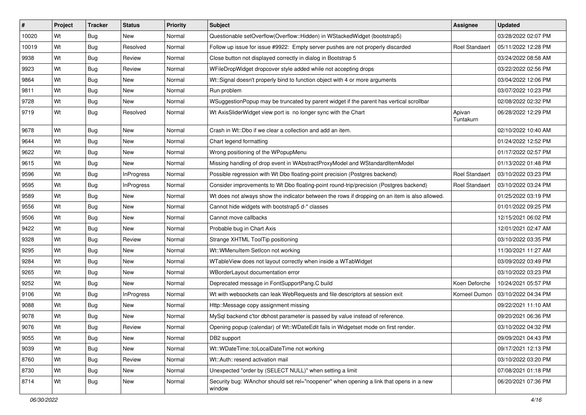| #     | Project | <b>Tracker</b> | <b>Status</b>     | <b>Priority</b> | Subject                                                                                           | <b>Assignee</b>       | <b>Updated</b>      |
|-------|---------|----------------|-------------------|-----------------|---------------------------------------------------------------------------------------------------|-----------------------|---------------------|
| 10020 | Wt      | <b>Bug</b>     | New               | Normal          | Questionable setOverflow(Overflow::Hidden) in WStackedWidget (bootstrap5)                         |                       | 03/28/2022 02:07 PM |
| 10019 | Wt      | Bug            | Resolved          | Normal          | Follow up issue for issue #9922: Empty server pushes are not properly discarded                   | <b>Roel Standaert</b> | 05/11/2022 12:28 PM |
| 9938  | Wt      | Bug            | Review            | Normal          | Close button not displayed correctly in dialog in Bootstrap 5                                     |                       | 03/24/2022 08:58 AM |
| 9923  | Wt      | Bug            | Review            | Normal          | WFileDropWidget dropcover style added while not accepting drops                                   |                       | 03/22/2022 02:56 PM |
| 9864  | Wt      | <b>Bug</b>     | <b>New</b>        | Normal          | Wt::Signal doesn't properly bind to function object with 4 or more arguments                      |                       | 03/04/2022 12:06 PM |
| 9811  | Wt      | <b>Bug</b>     | <b>New</b>        | Normal          | Run problem                                                                                       |                       | 03/07/2022 10:23 PM |
| 9728  | Wt      | <b>Bug</b>     | New               | Normal          | WSuggestionPopup may be truncated by parent widget if the parent has vertical scrollbar           |                       | 02/08/2022 02:32 PM |
| 9719  | Wt      | Bug            | Resolved          | Normal          | Wt AxisSliderWidget view port is no longer sync with the Chart                                    | Apivan<br>Tuntakurn   | 06/28/2022 12:29 PM |
| 9678  | Wt      | <b>Bug</b>     | <b>New</b>        | Normal          | Crash in Wt::Dbo if we clear a collection and add an item.                                        |                       | 02/10/2022 10:40 AM |
| 9644  | Wt      | <b>Bug</b>     | <b>New</b>        | Normal          | Chart legend formatting                                                                           |                       | 01/24/2022 12:52 PM |
| 9622  | Wt      | <b>Bug</b>     | <b>New</b>        | Normal          | Wrong positioning of the WPopupMenu                                                               |                       | 01/17/2022 02:57 PM |
| 9615  | Wt      | Bug            | <b>New</b>        | Normal          | Missing handling of drop event in WAbstractProxyModel and WStandardItemModel                      |                       | 01/13/2022 01:48 PM |
| 9596  | Wt      | <b>Bug</b>     | <b>InProgress</b> | Normal          | Possible regression with Wt Dbo floating-point precision (Postgres backend)                       | <b>Roel Standaert</b> | 03/10/2022 03:23 PM |
| 9595  | Wt      | Bug            | <b>InProgress</b> | Normal          | Consider improvements to Wt Dbo floating-point round-trip/precision (Postgres backend)            | <b>Roel Standaert</b> | 03/10/2022 03:24 PM |
| 9589  | Wt      | <b>Bug</b>     | <b>New</b>        | Normal          | Wt does not always show the indicator between the rows if dropping on an item is also allowed.    |                       | 01/25/2022 03:19 PM |
| 9556  | Wt      | <b>Bug</b>     | <b>New</b>        | Normal          | Cannot hide widgets with bootstrap5 d-* classes                                                   |                       | 01/01/2022 09:25 PM |
| 9506  | Wt      | Bug            | <b>New</b>        | Normal          | Cannot move callbacks                                                                             |                       | 12/15/2021 06:02 PM |
| 9422  | Wt      | <b>Bug</b>     | New               | Normal          | Probable bug in Chart Axis                                                                        |                       | 12/01/2021 02:47 AM |
| 9328  | Wt      | Bug            | Review            | Normal          | Strange XHTML ToolTip positioning                                                                 |                       | 03/10/2022 03:35 PM |
| 9295  | Wt      | Bug            | <b>New</b>        | Normal          | Wt::WMenuItem SetIcon not working                                                                 |                       | 11/30/2021 11:27 AM |
| 9284  | Wt      | <b>Bug</b>     | New               | Normal          | WTableView does not layout correctly when inside a WTabWidget                                     |                       | 03/09/2022 03:49 PM |
| 9265  | Wt      | <b>Bug</b>     | <b>New</b>        | Normal          | WBorderLayout documentation error                                                                 |                       | 03/10/2022 03:23 PM |
| 9252  | Wt      | Bug            | New               | Normal          | Deprecated message in FontSupportPang.C build                                                     | Koen Deforche         | 10/24/2021 05:57 PM |
| 9106  | Wt      | <b>Bug</b>     | <b>InProgress</b> | Normal          | Wt with websockets can leak WebRequests and file descriptors at session exit                      | Korneel Dumon         | 03/10/2022 04:34 PM |
| 9088  | Wt      | Bug            | <b>New</b>        | Normal          | Http:: Message copy assignment missing                                                            |                       | 09/22/2021 11:10 AM |
| 9078  | Wt      | <b>Bug</b>     | New               | Normal          | MySql backend c'tor dbhost parameter is passed by value instead of reference.                     |                       | 09/20/2021 06:36 PM |
| 9076  | Wt      | Bug            | Review            | Normal          | Opening popup (calendar) of Wt:: WDateEdit fails in Widgetset mode on first render.               |                       | 03/10/2022 04:32 PM |
| 9055  | Wt      | Bug            | New               | Normal          | DB2 support                                                                                       |                       | 09/09/2021 04:43 PM |
| 9039  | Wt      | Bug            | New               | Normal          | Wt::WDateTime::toLocalDateTime not working                                                        |                       | 09/17/2021 12:13 PM |
| 8760  | Wt      | <b>Bug</b>     | Review            | Normal          | Wt::Auth: resend activation mail                                                                  |                       | 03/10/2022 03:20 PM |
| 8730  | Wt      | Bug            | New               | Normal          | Unexpected "order by (SELECT NULL)" when setting a limit                                          |                       | 07/08/2021 01:18 PM |
| 8714  | Wt      | <b>Bug</b>     | New               | Normal          | Security bug: WAnchor should set rel="noopener" when opening a link that opens in a new<br>window |                       | 06/20/2021 07:36 PM |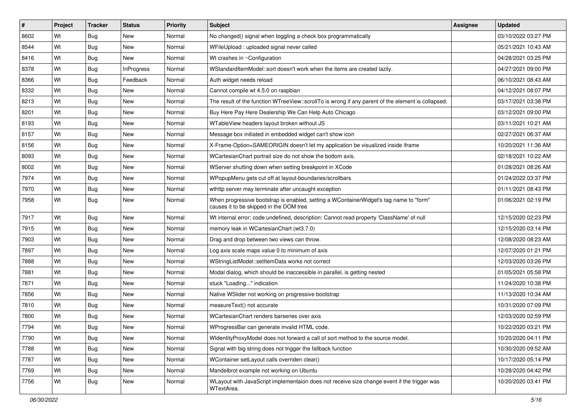| $\vert$ # | Project | <b>Tracker</b> | <b>Status</b> | <b>Priority</b> | Subject                                                                                                                           | <b>Assignee</b> | <b>Updated</b>      |
|-----------|---------|----------------|---------------|-----------------|-----------------------------------------------------------------------------------------------------------------------------------|-----------------|---------------------|
| 8602      | Wt      | Bug            | New           | Normal          | No changed() signal when toggling a check box programmatically                                                                    |                 | 03/10/2022 03:27 PM |
| 8544      | Wt      | <b>Bug</b>     | <b>New</b>    | Normal          | WFileUpload: uploaded signal never called                                                                                         |                 | 05/21/2021 10:43 AM |
| 8416      | Wt      | Bug            | New           | Normal          | Wt crashes in ~Configuration                                                                                                      |                 | 04/28/2021 03:25 PM |
| 8378      | Wt      | Bug            | InProgress    | Normal          | WStandardItemModel::sort doesn't work when the items are created lazily.                                                          |                 | 04/27/2021 09:00 PM |
| 8366      | Wt      | Bug            | Feedback      | Normal          | Auth widget needs reload                                                                                                          |                 | 06/10/2021 08:43 AM |
| 8332      | Wt      | Bug            | <b>New</b>    | Normal          | Cannot compile wt 4.5.0 on raspbian                                                                                               |                 | 04/12/2021 08:07 PM |
| 8213      | Wt      | Bug            | <b>New</b>    | Normal          | The result of the function WTreeView::scrollTo is wrong if any parent of the element is collapsed.                                |                 | 03/17/2021 03:38 PM |
| 8201      | Wt      | Bug            | <b>New</b>    | Normal          | Buy Here Pay Here Dealership We Can Help Auto Chicago                                                                             |                 | 03/12/2021 09:00 PM |
| 8193      | Wt      | Bug            | <b>New</b>    | Normal          | WTableView headers layout broken without JS                                                                                       |                 | 03/11/2021 10:21 AM |
| 8157      | Wt      | Bug            | <b>New</b>    | Normal          | Message box initiated in embedded widget can't show icon                                                                          |                 | 02/27/2021 06:37 AM |
| 8156      | Wt      | <b>Bug</b>     | <b>New</b>    | Normal          | X-Frame-Option=SAMEORIGIN doesn't let my application be visualized inside iframe                                                  |                 | 10/20/2021 11:36 AM |
| 8093      | Wt      | Bug            | <b>New</b>    | Normal          | WCartesianChart portrait size do not show the bottom axis.                                                                        |                 | 02/18/2021 10:22 AM |
| 8002      | Wt      | Bug            | <b>New</b>    | Normal          | WServer shutting down when setting breakpoint in XCode                                                                            |                 | 01/28/2021 08:26 AM |
| 7974      | Wt      | Bug            | <b>New</b>    | Normal          | WPopupMenu gets cut off at layout-boundaries/scrollbars                                                                           |                 | 01/24/2022 03:37 PM |
| 7970      | Wt      | <b>Bug</b>     | <b>New</b>    | Normal          | wthttp server may terminate after uncaught exception                                                                              |                 | 01/11/2021 08:43 PM |
| 7958      | Wt      | Bug            | New           | Normal          | When progressive bootstrap is enabled, setting a WContainerWidget's tag name to "form"<br>causes it to be skipped in the DOM tree |                 | 01/06/2021 02:19 PM |
| 7917      | Wt      | Bug            | <b>New</b>    | Normal          | Wt internal error; code:undefined, description: Cannot read property 'ClassName' of null                                          |                 | 12/15/2020 02:23 PM |
| 7915      | Wt      | Bug            | <b>New</b>    | Normal          | memory leak in WCartesianChart (wt3.7.0)                                                                                          |                 | 12/15/2020 03:14 PM |
| 7903      | Wt      | Bug            | <b>New</b>    | Normal          | Drag and drop between two views can throw.                                                                                        |                 | 12/08/2020 08:23 AM |
| 7897      | Wt      | Bug            | <b>New</b>    | Normal          | Log axis scale maps value 0 to minimum of axis                                                                                    |                 | 12/07/2020 01:21 PM |
| 7888      | Wt      | Bug            | <b>New</b>    | Normal          | WStringListModel::setItemData works not correct                                                                                   |                 | 12/03/2020 03:26 PM |
| 7881      | Wt      | Bug            | <b>New</b>    | Normal          | Modal dialog, which should be inaccessible in parallel, is getting nested                                                         |                 | 01/05/2021 05:58 PM |
| 7871      | Wt      | Bug            | New           | Normal          | stuck "Loading" indication                                                                                                        |                 | 11/24/2020 10:38 PM |
| 7856      | Wt      | <b>Bug</b>     | <b>New</b>    | Normal          | Native WSIider not working on progressive bootstrap                                                                               |                 | 11/13/2020 10:34 AM |
| 7810      | Wt      | Bug            | <b>New</b>    | Normal          | measureText() not accurate                                                                                                        |                 | 10/31/2020 07:09 PM |
| 7800      | Wt      | Bug            | New           | Normal          | WCartesianChart renders barseries over axis                                                                                       |                 | 12/03/2020 02:59 PM |
| 7794      | Wt      | Bug            | <b>New</b>    | Normal          | WProgressBar can generate invalid HTML code.                                                                                      |                 | 10/22/2020 03:21 PM |
| 7790      | Wt      | Bug            | New           | Normal          | WidentityProxyModel does not forward a call of sort method to the source model.                                                   |                 | 10/20/2020 04:11 PM |
| 7788      | Wt      | Bug            | New           | Normal          | Signal with big string does not trigger the fallback function                                                                     |                 | 10/30/2020 09:52 AM |
| 7787      | Wt      | <b>Bug</b>     | New           | Normal          | WContainer setLayout calls overriden clear()                                                                                      |                 | 10/17/2020 05:14 PM |
| 7769      | Wt      | <b>Bug</b>     | New           | Normal          | Mandelbrot example not working on Ubuntu                                                                                          |                 | 10/28/2020 04:42 PM |
| 7756      | Wt      | <b>Bug</b>     | New           | Normal          | WLayout with JavaScript implementaion does not receive size change event if the trigger was<br>WTextArea.                         |                 | 10/20/2020 03:41 PM |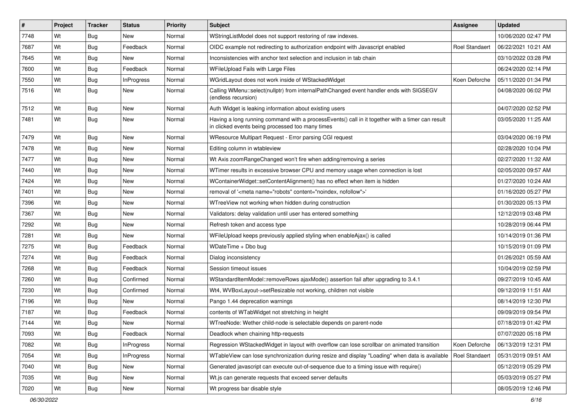| #    | Project | <b>Tracker</b> | <b>Status</b>     | <b>Priority</b> | Subject                                                                                                                                              | Assignee              | <b>Updated</b>      |
|------|---------|----------------|-------------------|-----------------|------------------------------------------------------------------------------------------------------------------------------------------------------|-----------------------|---------------------|
| 7748 | Wt      | Bug            | <b>New</b>        | Normal          | WStringListModel does not support restoring of raw indexes.                                                                                          |                       | 10/06/2020 02:47 PM |
| 7687 | Wt      | Bug            | Feedback          | Normal          | OIDC example not redirecting to authorization endpoint with Javascript enabled                                                                       | <b>Roel Standaert</b> | 06/22/2021 10:21 AM |
| 7645 | Wt      | Bug            | New               | Normal          | Inconsistencies with anchor text selection and inclusion in tab chain                                                                                |                       | 03/10/2022 03:28 PM |
| 7600 | Wt      | Bug            | Feedback          | Normal          | WFileUpload Fails with Large Files                                                                                                                   |                       | 06/24/2020 02:14 PM |
| 7550 | Wt      | Bug            | InProgress        | Normal          | WGridLayout does not work inside of WStackedWidget                                                                                                   | Koen Deforche         | 05/11/2020 01:34 PM |
| 7516 | Wt      | Bug            | <b>New</b>        | Normal          | Calling WMenu::select(nullptr) from internalPathChanged event handler ends with SIGSEGV<br>(endless recursion)                                       |                       | 04/08/2020 06:02 PM |
| 7512 | Wt      | Bug            | <b>New</b>        | Normal          | Auth Widget is leaking information about existing users                                                                                              |                       | 04/07/2020 02:52 PM |
| 7481 | Wt      | <b>Bug</b>     | <b>New</b>        | Normal          | Having a long running command with a processEvents() call in it together with a timer can result<br>in clicked events being processed too many times |                       | 03/05/2020 11:25 AM |
| 7479 | Wt      | Bug            | <b>New</b>        | Normal          | WResource Multipart Request - Error parsing CGI request                                                                                              |                       | 03/04/2020 06:19 PM |
| 7478 | Wt      | Bug            | <b>New</b>        | Normal          | Editing column in wtableview                                                                                                                         |                       | 02/28/2020 10:04 PM |
| 7477 | Wt      | Bug            | <b>New</b>        | Normal          | Wt Axis zoomRangeChanged won't fire when adding/removing a series                                                                                    |                       | 02/27/2020 11:32 AM |
| 7440 | Wt      | <b>Bug</b>     | <b>New</b>        | Normal          | WTimer results in excessive browser CPU and memory usage when connection is lost                                                                     |                       | 02/05/2020 09:57 AM |
| 7424 | Wt      | Bug            | New               | Normal          | WContainerWidget::setContentAlignment() has no effect when item is hidden                                                                            |                       | 01/27/2020 10:24 AM |
| 7401 | Wt      | Bug            | <b>New</b>        | Normal          | removal of ' <meta content="noindex, nofollow" name="robots"/> '                                                                                     |                       | 01/16/2020 05:27 PM |
| 7396 | Wt      | Bug            | <b>New</b>        | Normal          | WTreeView not working when hidden during construction                                                                                                |                       | 01/30/2020 05:13 PM |
| 7367 | Wt      | <b>Bug</b>     | <b>New</b>        | Normal          | Validators: delay validation until user has entered something                                                                                        |                       | 12/12/2019 03:48 PM |
| 7292 | Wt      | Bug            | New               | Normal          | Refresh token and access type                                                                                                                        |                       | 10/28/2019 06:44 PM |
| 7281 | Wt      | <b>Bug</b>     | <b>New</b>        | Normal          | WFileUpload keeps previously applied styling when enableAjax() is called                                                                             |                       | 10/14/2019 01:36 PM |
| 7275 | Wt      | Bug            | Feedback          | Normal          | WDateTime + Dbo bug                                                                                                                                  |                       | 10/15/2019 01:09 PM |
| 7274 | Wt      | Bug            | Feedback          | Normal          | Dialog inconsistency                                                                                                                                 |                       | 01/26/2021 05:59 AM |
| 7268 | Wt      | Bug            | Feedback          | Normal          | Session timeout issues                                                                                                                               |                       | 10/04/2019 02:59 PM |
| 7260 | Wt      | Bug            | Confirmed         | Normal          | WStandardItemModel::removeRows ajaxMode() assertion fail after upgrading to 3.4.1                                                                    |                       | 09/27/2019 10:45 AM |
| 7230 | Wt      | Bug            | Confirmed         | Normal          | Wt4, WVBoxLayout->setResizable not working, children not visible                                                                                     |                       | 09/12/2019 11:51 AM |
| 7196 | Wt      | <b>Bug</b>     | New               | Normal          | Pango 1.44 deprecation warnings                                                                                                                      |                       | 08/14/2019 12:30 PM |
| 7187 | Wt      | <b>Bug</b>     | Feedback          | Normal          | contents of WTabWidget not stretching in height                                                                                                      |                       | 09/09/2019 09:54 PM |
| 7144 | Wt      | Bug            | New               | Normal          | WTreeNode: Wether child-node is selectable depends on parent-node                                                                                    |                       | 07/18/2019 01:42 PM |
| 7093 | Wt      | <b>Bug</b>     | Feedback          | Normal          | Deadlock when chaining http-requests                                                                                                                 |                       | 07/07/2020 05:18 PM |
| 7082 | Wt      | Bug            | <b>InProgress</b> | Normal          | Regression WStackedWidget in layout with overflow can lose scrollbar on animated transition                                                          | Koen Deforche         | 06/13/2019 12:31 PM |
| 7054 | Wt      | Bug            | InProgress        | Normal          | WTableView can lose synchronization during resize and display "Loading" when data is available                                                       | <b>Roel Standaert</b> | 05/31/2019 09:51 AM |
| 7040 | Wt      | <b>Bug</b>     | New               | Normal          | Generated javascript can execute out-of-sequence due to a timing issue with require()                                                                |                       | 05/12/2019 05:29 PM |
| 7035 | Wt      | <b>Bug</b>     | New               | Normal          | Wt.js can generate requests that exceed server defaults                                                                                              |                       | 05/03/2019 05:27 PM |
| 7020 | Wt      | <b>Bug</b>     | New               | Normal          | Wt progress bar disable style                                                                                                                        |                       | 08/05/2019 12:46 PM |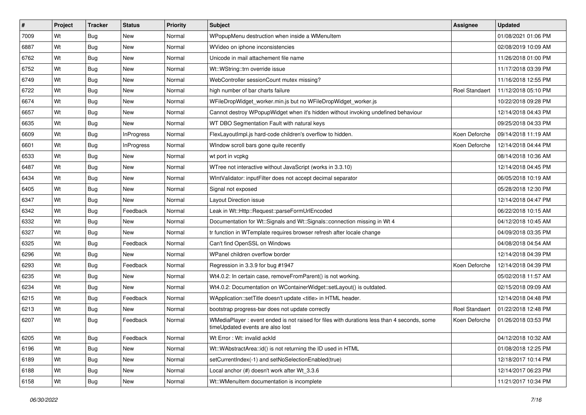| $\vert$ # | Project | <b>Tracker</b> | <b>Status</b>     | <b>Priority</b> | <b>Subject</b>                                                                                                                 | <b>Assignee</b>       | <b>Updated</b>      |
|-----------|---------|----------------|-------------------|-----------------|--------------------------------------------------------------------------------------------------------------------------------|-----------------------|---------------------|
| 7009      | Wt      | Bug            | New               | Normal          | WPopupMenu destruction when inside a WMenuItem                                                                                 |                       | 01/08/2021 01:06 PM |
| 6887      | Wt      | Bug            | <b>New</b>        | Normal          | WVideo on iphone inconsistencies                                                                                               |                       | 02/08/2019 10:09 AM |
| 6762      | Wt      | <b>Bug</b>     | <b>New</b>        | Normal          | Unicode in mail attachement file name                                                                                          |                       | 11/26/2018 01:00 PM |
| 6752      | Wt      | <b>Bug</b>     | <b>New</b>        | Normal          | Wt::WString::trn override issue                                                                                                |                       | 11/17/2018 03:39 PM |
| 6749      | Wt      | Bug            | <b>New</b>        | Normal          | WebController sessionCount mutex missing?                                                                                      |                       | 11/16/2018 12:55 PM |
| 6722      | Wt      | <b>Bug</b>     | <b>New</b>        | Normal          | high number of bar charts failure                                                                                              | Roel Standaert        | 11/12/2018 05:10 PM |
| 6674      | Wt      | Bug            | <b>New</b>        | Normal          | WFileDropWidget_worker.min.js but no WFileDropWidget_worker.js                                                                 |                       | 10/22/2018 09:28 PM |
| 6657      | Wt      | Bug            | New               | Normal          | Cannot destroy WPopupWidget when it's hidden without invoking undefined behaviour                                              |                       | 12/14/2018 04:43 PM |
| 6635      | Wt      | <b>Bug</b>     | <b>New</b>        | Normal          | WT DBO Segmentation Fault with natural keys                                                                                    |                       | 09/25/2018 04:33 PM |
| 6609      | Wt      | Bug            | <b>InProgress</b> | Normal          | FlexLayoutImpl.js hard-code children's overflow to hidden.                                                                     | Koen Deforche         | 09/14/2018 11:19 AM |
| 6601      | Wt      | Bug            | <b>InProgress</b> | Normal          | Window scroll bars gone quite recently                                                                                         | Koen Deforche         | 12/14/2018 04:44 PM |
| 6533      | Wt      | Bug            | <b>New</b>        | Normal          | wt port in vcpkg                                                                                                               |                       | 08/14/2018 10:36 AM |
| 6487      | Wt      | Bug            | <b>New</b>        | Normal          | WTree not interactive without JavaScript (works in 3.3.10)                                                                     |                       | 12/14/2018 04:45 PM |
| 6434      | Wt      | Bug            | <b>New</b>        | Normal          | WintValidator: inputFilter does not accept decimal separator                                                                   |                       | 06/05/2018 10:19 AM |
| 6405      | Wt      | Bug            | <b>New</b>        | Normal          | Signal not exposed                                                                                                             |                       | 05/28/2018 12:30 PM |
| 6347      | Wt      | Bug            | <b>New</b>        | Normal          | Layout Direction issue                                                                                                         |                       | 12/14/2018 04:47 PM |
| 6342      | Wt      | <b>Bug</b>     | Feedback          | Normal          | Leak in Wt::Http::Request::parseFormUrlEncoded                                                                                 |                       | 06/22/2018 10:15 AM |
| 6332      | Wt      | Bug            | <b>New</b>        | Normal          | Documentation for Wt::Signals and Wt::Signals::connection missing in Wt 4                                                      |                       | 04/12/2018 10:45 AM |
| 6327      | Wt      | Bug            | <b>New</b>        | Normal          | tr function in WTemplate requires browser refresh after locale change                                                          |                       | 04/09/2018 03:35 PM |
| 6325      | Wt      | Bug            | Feedback          | Normal          | Can't find OpenSSL on Windows                                                                                                  |                       | 04/08/2018 04:54 AM |
| 6296      | Wt      | Bug            | New               | Normal          | WPanel children overflow border                                                                                                |                       | 12/14/2018 04:39 PM |
| 6293      | Wt      | <b>Bug</b>     | Feedback          | Normal          | Regression in 3.3.9 for bug #1947                                                                                              | Koen Deforche         | 12/14/2018 04:39 PM |
| 6235      | Wt      | Bug            | <b>New</b>        | Normal          | Wt4.0.2: In certain case, removeFromParent() is not working.                                                                   |                       | 05/02/2018 11:57 AM |
| 6234      | Wt      | <b>Bug</b>     | New               | Normal          | Wt4.0.2: Documentation on WContainerWidget::setLayout() is outdated.                                                           |                       | 02/15/2018 09:09 AM |
| 6215      | Wt      | <b>Bug</b>     | Feedback          | Normal          | WApplication::setTitle doesn't update <title> in HTML header.</title>                                                          |                       | 12/14/2018 04:48 PM |
| 6213      | Wt      | <b>Bug</b>     | New               | Normal          | bootstrap progress-bar does not update correctly                                                                               | <b>Roel Standaert</b> | 01/22/2018 12:48 PM |
| 6207      | Wt      | Bug            | Feedback          | Normal          | WMediaPlayer: event ended is not raised for files with durations less than 4 seconds, some<br>timeUpdated events are also lost | Koen Deforche         | 01/26/2018 03:53 PM |
| 6205      | Wt      | Bug            | Feedback          | Normal          | Wt Error: Wt: invalid ackId                                                                                                    |                       | 04/12/2018 10:32 AM |
| 6196      | Wt      | Bug            | New               | Normal          | Wt::WAbstractArea::id() is not returning the ID used in HTML                                                                   |                       | 01/08/2018 12:25 PM |
| 6189      | Wt      | Bug            | New               | Normal          | setCurrentIndex(-1) and setNoSelectionEnabled(true)                                                                            |                       | 12/18/2017 10:14 PM |
| 6188      | Wt      | <b>Bug</b>     | New               | Normal          | Local anchor (#) doesn't work after Wt_3.3.6                                                                                   |                       | 12/14/2017 06:23 PM |
| 6158      | Wt      | <b>Bug</b>     | New               | Normal          | Wt::WMenuItem documentation is incomplete                                                                                      |                       | 11/21/2017 10:34 PM |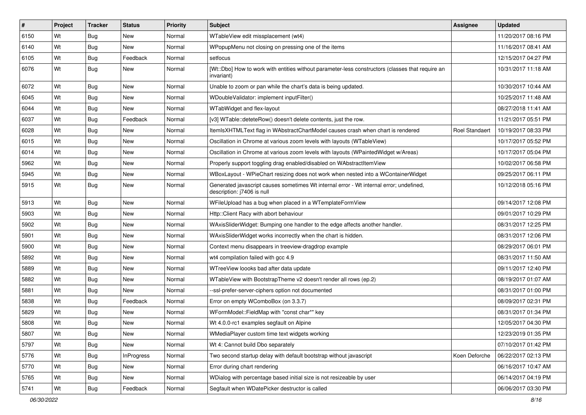| #    | Project | <b>Tracker</b> | <b>Status</b>     | <b>Priority</b> | Subject                                                                                                               | <b>Assignee</b>       | <b>Updated</b>      |
|------|---------|----------------|-------------------|-----------------|-----------------------------------------------------------------------------------------------------------------------|-----------------------|---------------------|
| 6150 | Wt      | Bug            | New               | Normal          | WTableView edit missplacement (wt4)                                                                                   |                       | 11/20/2017 08:16 PM |
| 6140 | Wt      | Bug            | New               | Normal          | WPopupMenu not closing on pressing one of the items                                                                   |                       | 11/16/2017 08:41 AM |
| 6105 | Wt      | Bug            | Feedback          | Normal          | setfocus                                                                                                              |                       | 12/15/2017 04:27 PM |
| 6076 | Wt      | Bug            | New               | Normal          | [Wt::Dbo] How to work with entities without parameter-less constructors (classes that require an<br>invariant)        |                       | 10/31/2017 11:18 AM |
| 6072 | Wt      | Bug            | New               | Normal          | Unable to zoom or pan while the chart's data is being updated.                                                        |                       | 10/30/2017 10:44 AM |
| 6045 | Wt      | Bug            | New               | Normal          | WDoubleValidator: implement inputFilter()                                                                             |                       | 10/25/2017 11:48 AM |
| 6044 | Wt      | Bug            | New               | Normal          | WTabWidget and flex-layout                                                                                            |                       | 08/27/2018 11:41 AM |
| 6037 | Wt      | Bug            | Feedback          | Normal          | [v3] WTable::deteteRow() doesn't delete contents, just the row.                                                       |                       | 11/21/2017 05:51 PM |
| 6028 | Wt      | Bug            | <b>New</b>        | Normal          | ItemIsXHTMLText flag in WAbstractChartModel causes crash when chart is rendered                                       | <b>Roel Standaert</b> | 10/19/2017 08:33 PM |
| 6015 | Wt      | Bug            | New               | Normal          | Oscillation in Chrome at various zoom levels with layouts (WTableView)                                                |                       | 10/17/2017 05:52 PM |
| 6014 | Wt      | Bug            | New               | Normal          | Oscillation in Chrome at various zoom levels with layouts (WPaintedWidget w/Areas)                                    |                       | 10/17/2017 05:04 PM |
| 5962 | Wt      | Bug            | <b>New</b>        | Normal          | Properly support toggling drag enabled/disabled on WAbstractItemView                                                  |                       | 10/02/2017 06:58 PM |
| 5945 | Wt      | Bug            | New               | Normal          | WBoxLayout - WPieChart resizing does not work when nested into a WContainerWidget                                     |                       | 09/25/2017 06:11 PM |
| 5915 | Wt      | Bug            | New               | Normal          | Generated javascript causes sometimes Wt internal error - Wt internal error; undefined,<br>description: j7406 is null |                       | 10/12/2018 05:16 PM |
| 5913 | Wt      | Bug            | New               | Normal          | WFileUpload has a bug when placed in a WTemplateFormView                                                              |                       | 09/14/2017 12:08 PM |
| 5903 | Wt      | Bug            | <b>New</b>        | Normal          | Http::Client Racy with abort behaviour                                                                                |                       | 09/01/2017 10:29 PM |
| 5902 | Wt      | Bug            | New               | Normal          | WAxisSliderWidget: Bumping one handler to the edge affects another handler.                                           |                       | 08/31/2017 12:25 PM |
| 5901 | Wt      | Bug            | New               | Normal          | WAxisSliderWidget works incorrectly when the chart is hidden.                                                         |                       | 08/31/2017 12:06 PM |
| 5900 | Wt      | Bug            | New               | Normal          | Context menu disappears in treeview-dragdrop example                                                                  |                       | 08/29/2017 06:01 PM |
| 5892 | Wt      | Bug            | New               | Normal          | wt4 compilation failed with gcc 4.9                                                                                   |                       | 08/31/2017 11:50 AM |
| 5889 | Wt      | Bug            | New               | Normal          | WTreeView loooks bad after data update                                                                                |                       | 09/11/2017 12:40 PM |
| 5882 | Wt      | Bug            | New               | Normal          | WTableView with BootstrapTheme v2 doesn't render all rows (ep.2)                                                      |                       | 08/19/2017 01:07 AM |
| 5881 | Wt      | Bug            | New               | Normal          | --ssl-prefer-server-ciphers option not documented                                                                     |                       | 08/31/2017 01:00 PM |
| 5838 | Wt      | Bug            | Feedback          | Normal          | Error on empty WComboBox (on 3.3.7)                                                                                   |                       | 08/09/2017 02:31 PM |
| 5829 | Wt      | <b>Bug</b>     | New               | Normal          | WFormModel::FieldMap with "const char*" key                                                                           |                       | 08/31/2017 01:34 PM |
| 5808 | Wt      | Bug            | New               | Normal          | Wt 4.0.0-rc1 examples segfault on Alpine                                                                              |                       | 12/05/2017 04:30 PM |
| 5807 | Wt      | <b>Bug</b>     | New               | Normal          | WMediaPlayer custom time text widgets working                                                                         |                       | 12/23/2019 01:35 PM |
| 5797 | Wt      | Bug            | New               | Normal          | Wt 4: Cannot build Dbo separately                                                                                     |                       | 07/10/2017 01:42 PM |
| 5776 | Wt      | <b>Bug</b>     | <b>InProgress</b> | Normal          | Two second startup delay with default bootstrap without javascript                                                    | Koen Deforche         | 06/22/2017 02:13 PM |
| 5770 | Wt      | <b>Bug</b>     | New               | Normal          | Error during chart rendering                                                                                          |                       | 06/16/2017 10:47 AM |
| 5765 | Wt      | <b>Bug</b>     | New               | Normal          | WDialog with percentage based initial size is not resizeable by user                                                  |                       | 06/14/2017 04:19 PM |
| 5741 | Wt      | <b>Bug</b>     | Feedback          | Normal          | Segfault when WDatePicker destructor is called                                                                        |                       | 06/06/2017 03:30 PM |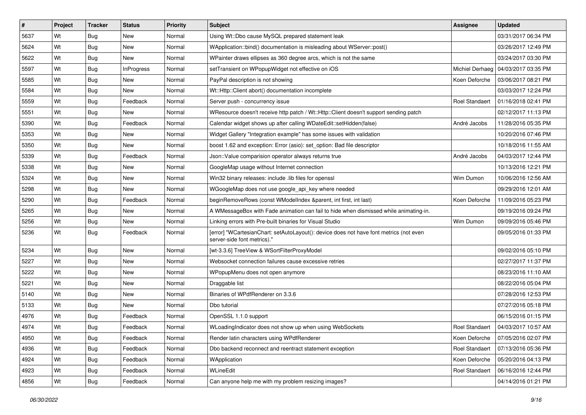| $\vert$ # | Project | <b>Tracker</b> | <b>Status</b>     | <b>Priority</b> | <b>Subject</b>                                                                                                        | <b>Assignee</b>       | <b>Updated</b>                        |
|-----------|---------|----------------|-------------------|-----------------|-----------------------------------------------------------------------------------------------------------------------|-----------------------|---------------------------------------|
| 5637      | Wt      | Bug            | New               | Normal          | Using Wt::Dbo cause MySQL prepared statement leak                                                                     |                       | 03/31/2017 06:34 PM                   |
| 5624      | Wt      | <b>Bug</b>     | <b>New</b>        | Normal          | WApplication::bind() documentation is misleading about WServer::post()                                                |                       | 03/26/2017 12:49 PM                   |
| 5622      | Wt      | <b>Bug</b>     | New               | Normal          | WPainter draws ellipses as 360 degree arcs, which is not the same                                                     |                       | 03/24/2017 03:30 PM                   |
| 5597      | Wt      | Bug            | <b>InProgress</b> | Normal          | setTransient on WPopupWidget not effective on iOS                                                                     |                       | Michiel Derhaeg   04/03/2017 03:35 PM |
| 5585      | Wt      | <b>Bug</b>     | <b>New</b>        | Normal          | PayPal description is not showing                                                                                     | Koen Deforche         | 03/06/2017 08:21 PM                   |
| 5584      | Wt      | <b>Bug</b>     | New               | Normal          | Wt::Http::Client abort() documentation incomplete                                                                     |                       | 03/03/2017 12:24 PM                   |
| 5559      | Wt      | Bug            | Feedback          | Normal          | Server push - concurrency issue                                                                                       | <b>Roel Standaert</b> | 01/16/2018 02:41 PM                   |
| 5551      | Wt      | <b>Bug</b>     | New               | Normal          | WResource doesn't receive http patch / Wt::Http::Client doesn't support sending patch                                 |                       | 02/12/2017 11:13 PM                   |
| 5390      | Wt      | <b>Bug</b>     | Feedback          | Normal          | Calendar widget shows up after calling WDateEdit::setHidden(false)                                                    | André Jacobs          | 11/28/2016 05:35 PM                   |
| 5353      | Wt      | <b>Bug</b>     | New               | Normal          | Widget Gallery "Integration example" has some issues with validation                                                  |                       | 10/20/2016 07:46 PM                   |
| 5350      | Wt      | <b>Bug</b>     | New               | Normal          | boost 1.62 and exception: Error (asio): set_option: Bad file descriptor                                               |                       | 10/18/2016 11:55 AM                   |
| 5339      | Wt      | <b>Bug</b>     | Feedback          | Normal          | Json::Value comparision operator always returns true                                                                  | André Jacobs          | 04/03/2017 12:44 PM                   |
| 5338      | Wt      | Bug            | <b>New</b>        | Normal          | GoogleMap usage without Internet connection                                                                           |                       | 10/13/2016 12:21 PM                   |
| 5324      | Wt      | <b>Bug</b>     | New               | Normal          | Win32 binary releases: include .lib files for openssl                                                                 | Wim Dumon             | 10/06/2016 12:56 AM                   |
| 5298      | Wt      | <b>Bug</b>     | <b>New</b>        | Normal          | WGoogleMap does not use google_api_key where needed                                                                   |                       | 09/29/2016 12:01 AM                   |
| 5290      | Wt      | Bug            | Feedback          | Normal          | beginRemoveRows (const WModelIndex &parent, int first, int last)                                                      | Koen Deforche         | 11/09/2016 05:23 PM                   |
| 5265      | Wt      | Bug            | New               | Normal          | A WMessageBox with Fade animation can fail to hide when dismissed while animating-in.                                 |                       | 09/19/2016 09:24 PM                   |
| 5256      | Wt      | <b>Bug</b>     | New               | Normal          | Linking errors with Pre-built binaries for Visual Studio                                                              | Wim Dumon             | 09/09/2016 05:46 PM                   |
| 5236      | Wt      | <b>Bug</b>     | Feedback          | Normal          | [error] "WCartesianChart: setAutoLayout(): device does not have font metrics (not even<br>server-side font metrics)." |                       | 09/05/2016 01:33 PM                   |
| 5234      | Wt      | Bug            | <b>New</b>        | Normal          | [wt-3.3.6] TreeView & WSortFilterProxyModel                                                                           |                       | 09/02/2016 05:10 PM                   |
| 5227      | Wt      | <b>Bug</b>     | <b>New</b>        | Normal          | Websocket connection failures cause excessive retries                                                                 |                       | 02/27/2017 11:37 PM                   |
| 5222      | Wt      | <b>Bug</b>     | New               | Normal          | WPopupMenu does not open anymore                                                                                      |                       | 08/23/2016 11:10 AM                   |
| 5221      | Wt      | <b>Bug</b>     | New               | Normal          | Draggable list                                                                                                        |                       | 08/22/2016 05:04 PM                   |
| 5140      | Wt      | Bug            | <b>New</b>        | Normal          | Binaries of WPdfRenderer on 3.3.6                                                                                     |                       | 07/28/2016 12:53 PM                   |
| 5133      | Wt      | <b>Bug</b>     | <b>New</b>        | Normal          | Dbo tutorial                                                                                                          |                       | 07/27/2016 05:18 PM                   |
| 4976      | Wt      | <b>Bug</b>     | Feedback          | Normal          | OpenSSL 1.1.0 support                                                                                                 |                       | 06/15/2016 01:15 PM                   |
| 4974      | Wt      | Bug            | Feedback          | Normal          | WLoadingIndicator does not show up when using WebSockets                                                              | Roel Standaert        | 04/03/2017 10:57 AM                   |
| 4950      | Wt      | <b>Bug</b>     | Feedback          | Normal          | Render latin characters using WPdfRenderer                                                                            | Koen Deforche         | 07/05/2016 02:07 PM                   |
| 4936      | Wt      | <b>Bug</b>     | Feedback          | Normal          | Dbo backend reconnect and reentract statement exception                                                               | Roel Standaert        | 07/13/2016 05:36 PM                   |
| 4924      | Wt      | <b>Bug</b>     | Feedback          | Normal          | WApplication                                                                                                          | Koen Deforche         | 05/20/2016 04:13 PM                   |
| 4923      | Wt      | <b>Bug</b>     | Feedback          | Normal          | WLineEdit                                                                                                             | <b>Roel Standaert</b> | 06/16/2016 12:44 PM                   |
| 4856      | Wt      | <b>Bug</b>     | Feedback          | Normal          | Can anyone help me with my problem resizing images?                                                                   |                       | 04/14/2016 01:21 PM                   |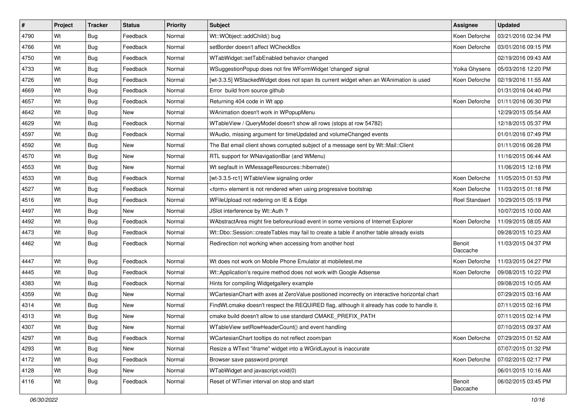| $\vert$ # | Project | <b>Tracker</b> | <b>Status</b> | <b>Priority</b> | <b>Subject</b>                                                                                | Assignee              | <b>Updated</b>      |
|-----------|---------|----------------|---------------|-----------------|-----------------------------------------------------------------------------------------------|-----------------------|---------------------|
| 4790      | Wt      | Bug            | Feedback      | Normal          | Wt::WObject::addChild() bug                                                                   | Koen Deforche         | 03/21/2016 02:34 PM |
| 4766      | Wt      | Bug            | Feedback      | Normal          | setBorder doesn't affect WCheckBox                                                            | Koen Deforche         | 03/01/2016 09:15 PM |
| 4750      | Wt      | Bug            | Feedback      | Normal          | WTabWidget::setTabEnabled behavior changed                                                    |                       | 02/19/2016 09:43 AM |
| 4733      | Wt      | <b>Bug</b>     | Feedback      | Normal          | WSuggestionPopup does not fire WFormWidget 'changed' signal                                   | Yoika Ghysens         | 05/03/2016 12:20 PM |
| 4726      | Wt      | Bug            | Feedback      | Normal          | [wt-3.3.5] WStackedWidget does not span its current widget when an WAnimation is used         | Koen Deforche         | 02/19/2016 11:55 AM |
| 4669      | Wt      | Bug            | Feedback      | Normal          | Error build from source github                                                                |                       | 01/31/2016 04:40 PM |
| 4657      | Wt      | Bug            | Feedback      | Normal          | Returning 404 code in Wt app                                                                  | Koen Deforche         | 01/11/2016 06:30 PM |
| 4642      | Wt      | Bug            | New           | Normal          | WAnimation doesn't work in WPopupMenu                                                         |                       | 12/29/2015 05:54 AM |
| 4629      | Wt      | <b>Bug</b>     | Feedback      | Normal          | WTableView / QueryModel doesn't show all rows (stops at row 54782)                            |                       | 12/18/2015 05:37 PM |
| 4597      | Wt      | Bug            | Feedback      | Normal          | WAudio, missing argument for timeUpdated and volumeChanged events                             |                       | 01/01/2016 07:49 PM |
| 4592      | Wt      | Bug            | <b>New</b>    | Normal          | The Bat email client shows corrupted subject of a message sent by Wt::Mail::Client            |                       | 01/11/2016 06:28 PM |
| 4570      | Wt      | <b>Bug</b>     | New           | Normal          | RTL support for WNavigationBar (and WMenu)                                                    |                       | 11/16/2015 06:44 AM |
| 4553      | Wt      | Bug            | <b>New</b>    | Normal          | Wt segfault in WMessageResources::hibernate()                                                 |                       | 11/06/2015 12:18 PM |
| 4533      | Wt      | Bug            | Feedback      | Normal          | [wt-3.3.5-rc1] WTableView signaling order                                                     | Koen Deforche         | 11/05/2015 01:53 PM |
| 4527      | Wt      | <b>Bug</b>     | Feedback      | Normal          | <form> element is not rendered when using progressive bootstrap</form>                        | Koen Deforche         | 11/03/2015 01:18 PM |
| 4516      | Wt      | Bug            | Feedback      | Normal          | WFileUpload not redering on IE & Edge                                                         | <b>Roel Standaert</b> | 10/29/2015 05:19 PM |
| 4497      | Wt      | <b>Bug</b>     | <b>New</b>    | Normal          | JSlot interference by Wt::Auth ?                                                              |                       | 10/07/2015 10:00 AM |
| 4492      | Wt      | Bug            | Feedback      | Normal          | WAbstractArea might fire beforeunload event in some versions of Internet Explorer             | Koen Deforche         | 11/09/2015 08:05 AM |
| 4473      | Wt      | Bug            | Feedback      | Normal          | Wt::Dbo::Session::createTables may fail to create a table if another table already exists     |                       | 09/28/2015 10:23 AM |
| 4462      | Wt      | Bug            | Feedback      | Normal          | Redirection not working when accessing from another host                                      | Benoit<br>Daccache    | 11/03/2015 04:37 PM |
| 4447      | Wt      | Bug            | Feedback      | Normal          | Wt does not work on Mobile Phone Emulator at mobiletest.me                                    | Koen Deforche         | 11/03/2015 04:27 PM |
| 4445      | Wt      | Bug            | Feedback      | Normal          | Wt::Application's require method does not work with Google Adsense                            | Koen Deforche         | 09/08/2015 10:22 PM |
| 4383      | Wt      | <b>Bug</b>     | Feedback      | Normal          | Hints for compiling Widgetgallery example                                                     |                       | 09/08/2015 10:05 AM |
| 4359      | Wt      | <b>Bug</b>     | <b>New</b>    | Normal          | WCartesianChart with axes at ZeroValue positioned incorrectly on interactive horizontal chart |                       | 07/29/2015 03:16 AM |
| 4314      | Wt      | Bug            | New           | Normal          | FindWt.cmake doesn't respect the REQUIRED flag, although it already has code to handle it.    |                       | 07/11/2015 02:16 PM |
| 4313      | Wt      | <b>Bug</b>     | New           | Normal          | cmake build doesn't allow to use standard CMAKE PREFIX PATH                                   |                       | 07/11/2015 02:14 PM |
| 4307      | Wt      | <b>Bug</b>     | New           | Normal          | WTableView setRowHeaderCount() and event handling                                             |                       | 07/10/2015 09:37 AM |
| 4297      | Wt      | Bug            | Feedback      | Normal          | WCartesianChart tooltips do not reflect zoom/pan                                              | Koen Deforche         | 07/29/2015 01:52 AM |
| 4293      | Wt      | Bug            | New           | Normal          | Resize a WText "iframe" widget into a WGridLayout is inaccurate                               |                       | 07/07/2015 01:32 PM |
| 4172      | Wt      | <b>Bug</b>     | Feedback      | Normal          | Browser save password prompt                                                                  | Koen Deforche         | 07/02/2015 02:17 PM |
| 4128      | Wt      | <b>Bug</b>     | New           | Normal          | WTabWidget and javascript.void(0)                                                             |                       | 06/01/2015 10:16 AM |
| 4116      | Wt      | <b>Bug</b>     | Feedback      | Normal          | Reset of WTimer interval on stop and start                                                    | Benoit<br>Daccache    | 06/02/2015 03:45 PM |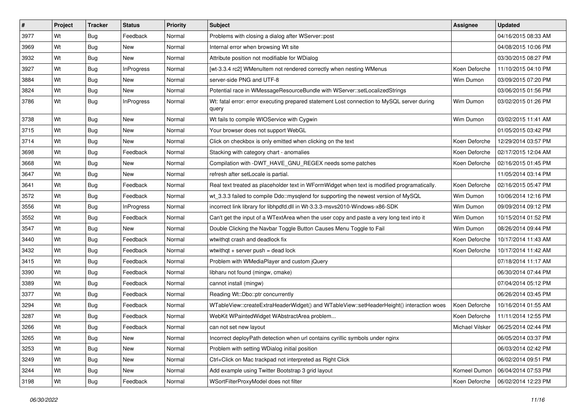| $\vert$ # | Project | <b>Tracker</b> | <b>Status</b>     | <b>Priority</b> | <b>Subject</b>                                                                                      | Assignee        | <b>Updated</b>      |
|-----------|---------|----------------|-------------------|-----------------|-----------------------------------------------------------------------------------------------------|-----------------|---------------------|
| 3977      | Wt      | <b>Bug</b>     | Feedback          | Normal          | Problems with closing a dialog after WServer::post                                                  |                 | 04/16/2015 08:33 AM |
| 3969      | Wt      | <b>Bug</b>     | <b>New</b>        | Normal          | Internal error when browsing Wt site                                                                |                 | 04/08/2015 10:06 PM |
| 3932      | Wt      | Bug            | New               | Normal          | Attribute position not modifiable for WDialog                                                       |                 | 03/30/2015 08:27 PM |
| 3927      | Wt      | <b>Bug</b>     | <b>InProgress</b> | Normal          | [wt-3.3.4 rc2] WMenuItem not rendered correctly when nesting WMenus                                 | Koen Deforche   | 11/10/2015 04:10 PM |
| 3884      | Wt      | Bug            | <b>New</b>        | Normal          | server-side PNG and UTF-8                                                                           | Wim Dumon       | 03/09/2015 07:20 PM |
| 3824      | Wt      | <b>Bug</b>     | New               | Normal          | Potential race in WMessageResourceBundle with WServer::setLocalizedStrings                          |                 | 03/06/2015 01:56 PM |
| 3786      | Wt      | Bug            | <b>InProgress</b> | Normal          | Wt: fatal error: error executing prepared statement Lost connection to MySQL server during<br>query | Wim Dumon       | 03/02/2015 01:26 PM |
| 3738      | Wt      | Bug            | <b>New</b>        | Normal          | Wt fails to compile WIOService with Cygwin                                                          | Wim Dumon       | 03/02/2015 11:41 AM |
| 3715      | Wt      | <b>Bug</b>     | <b>New</b>        | Normal          | Your browser does not support WebGL                                                                 |                 | 01/05/2015 03:42 PM |
| 3714      | Wt      | Bug            | New               | Normal          | Click on checkbox is only emitted when clicking on the text                                         | Koen Deforche   | 12/29/2014 03:57 PM |
| 3698      | Wt      | <b>Bug</b>     | Feedback          | Normal          | Stacking with category chart - anomalies                                                            | Koen Deforche   | 02/17/2015 12:04 AM |
| 3668      | Wt      | Bug            | <b>New</b>        | Normal          | Compilation with -DWT_HAVE_GNU_REGEX needs some patches                                             | Koen Deforche   | 02/16/2015 01:45 PM |
| 3647      | Wt      | <b>Bug</b>     | New               | Normal          | refresh after setLocale is partial.                                                                 |                 | 11/05/2014 03:14 PM |
| 3641      | Wt      | <b>Bug</b>     | Feedback          | Normal          | Real text treated as placeholder text in WFormWidget when text is modified programatically.         | Koen Deforche   | 02/16/2015 05:47 PM |
| 3572      | Wt      | <b>Bug</b>     | Feedback          | Normal          | wt 3.3.3 failed to compile Ddo::mysqlend for supporting the newest version of MySQL                 | Wim Dumon       | 10/06/2014 12:16 PM |
| 3556      | Wt      | <b>Bug</b>     | <b>InProgress</b> | Normal          | incorrect link library for libhpdfd.dll in Wt-3.3.3-msvs2010-Windows-x86-SDK                        | Wim Dumon       | 09/09/2014 09:12 PM |
| 3552      | Wt      | Bug            | Feedback          | Normal          | Can't get the input of a WTextArea when the user copy and paste a very long text into it            | Wim Dumon       | 10/15/2014 01:52 PM |
| 3547      | Wt      | <b>Bug</b>     | <b>New</b>        | Normal          | Double Clicking the Navbar Toggle Button Causes Menu Toggle to Fail                                 | Wim Dumon       | 08/26/2014 09:44 PM |
| 3440      | Wt      | <b>Bug</b>     | Feedback          | Normal          | wtwithgt crash and deadlock fix                                                                     | Koen Deforche   | 10/17/2014 11:43 AM |
| 3432      | Wt      | Bug            | Feedback          | Normal          | wtwithgt $+$ server push = dead lock                                                                | Koen Deforche   | 10/17/2014 11:42 AM |
| 3415      | Wt      | <b>Bug</b>     | Feedback          | Normal          | Problem with WMediaPlayer and custom jQuery                                                         |                 | 07/18/2014 11:17 AM |
| 3390      | Wt      | Bug            | Feedback          | Normal          | libharu not found (mingw, cmake)                                                                    |                 | 06/30/2014 07:44 PM |
| 3389      | Wt      | <b>Bug</b>     | Feedback          | Normal          | cannot install (mingw)                                                                              |                 | 07/04/2014 05:12 PM |
| 3377      | Wt      | <b>Bug</b>     | Feedback          | Normal          | Reading Wt::Dbo::ptr concurrently                                                                   |                 | 06/26/2014 03:45 PM |
| 3294      | Wt      | <b>Bug</b>     | Feedback          | Normal          | WTableView::createExtraHeaderWidget() and WTableView::setHeaderHeight() interaction woes            | Koen Deforche   | 10/16/2014 01:55 AM |
| 3287      | Wt      | <b>Bug</b>     | Feedback          | Normal          | WebKit WPaintedWidget WAbstractArea problem                                                         | Koen Deforche   | 11/11/2014 12:55 PM |
| 3266      | Wt      | <b>Bug</b>     | Feedback          | Normal          | can not set new layout                                                                              | Michael Vilsker | 06/25/2014 02:44 PM |
| 3265      | Wt      | Bug            | New               | Normal          | Incorrect deployPath detection when url contains cyrillic symbols under nginx                       |                 | 06/05/2014 03:37 PM |
| 3253      | Wt      | Bug            | New               | Normal          | Problem with setting WDialog initial position                                                       |                 | 06/03/2014 02:42 PM |
| 3249      | Wt      | <b>Bug</b>     | New               | Normal          | Ctrl+Click on Mac trackpad not interpreted as Right Click                                           |                 | 06/02/2014 09:51 PM |
| 3244      | Wt      | <b>Bug</b>     | New               | Normal          | Add example using Twitter Bootstrap 3 grid layout                                                   | Korneel Dumon   | 06/04/2014 07:53 PM |
| 3198      | Wt      | <b>Bug</b>     | Feedback          | Normal          | WSortFilterProxyModel does not filter                                                               | Koen Deforche   | 06/02/2014 12:23 PM |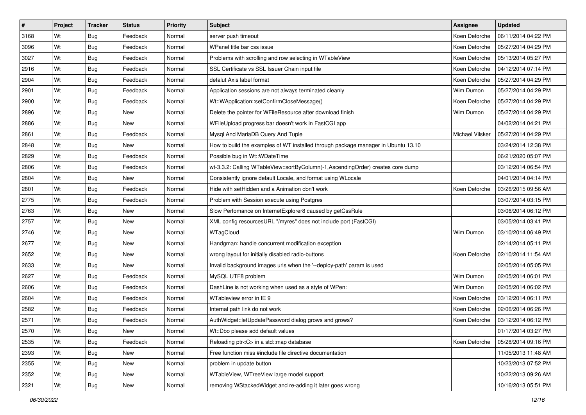| $\vert$ # | Project | <b>Tracker</b> | <b>Status</b> | <b>Priority</b> | <b>Subject</b>                                                                    | Assignee        | <b>Updated</b>      |
|-----------|---------|----------------|---------------|-----------------|-----------------------------------------------------------------------------------|-----------------|---------------------|
| 3168      | Wt      | <b>Bug</b>     | Feedback      | Normal          | server push timeout                                                               | Koen Deforche   | 06/11/2014 04:22 PM |
| 3096      | Wt      | <b>Bug</b>     | Feedback      | Normal          | WPanel title bar css issue                                                        | Koen Deforche   | 05/27/2014 04:29 PM |
| 3027      | Wt      | <b>Bug</b>     | Feedback      | Normal          | Problems with scrolling and row selecting in WTableView                           | Koen Deforche   | 05/13/2014 05:27 PM |
| 2916      | Wt      | <b>Bug</b>     | Feedback      | Normal          | SSL Certificate vs SSL Issuer Chain input file                                    | Koen Deforche   | 04/12/2014 07:14 PM |
| 2904      | Wt      | Bug            | Feedback      | Normal          | defalut Axis label format                                                         | Koen Deforche   | 05/27/2014 04:29 PM |
| 2901      | Wt      | <b>Bug</b>     | Feedback      | Normal          | Application sessions are not always terminated cleanly                            | Wim Dumon       | 05/27/2014 04:29 PM |
| 2900      | Wt      | Bug            | Feedback      | Normal          | Wt::WApplication::setConfirmCloseMessage()                                        | Koen Deforche   | 05/27/2014 04:29 PM |
| 2896      | Wt      | <b>Bug</b>     | New           | Normal          | Delete the pointer for WFileResource after download finish                        | Wim Dumon       | 05/27/2014 04:29 PM |
| 2886      | Wt      | <b>Bug</b>     | <b>New</b>    | Normal          | WFileUpload progress bar doesn't work in FastCGI app                              |                 | 04/02/2014 04:21 PM |
| 2861      | Wt      | Bug            | Feedback      | Normal          | Mysql And MariaDB Query And Tuple                                                 | Michael Vilsker | 05/27/2014 04:29 PM |
| 2848      | Wt      | <b>Bug</b>     | <b>New</b>    | Normal          | How to build the examples of WT installed through package manager in Ubuntu 13.10 |                 | 03/24/2014 12:38 PM |
| 2829      | Wt      | <b>Bug</b>     | Feedback      | Normal          | Possible bug in Wt:: WDateTime                                                    |                 | 06/21/2020 05:07 PM |
| 2806      | Wt      | Bug            | Feedback      | Normal          | wt-3.3.2: Calling WTableView::sortByColumn(-1,AscendingOrder) creates core dump   |                 | 03/12/2014 06:54 PM |
| 2804      | Wt      | Bug            | New           | Normal          | Consistently ignore default Locale, and format using WLocale                      |                 | 04/01/2014 04:14 PM |
| 2801      | Wt      | <b>Bug</b>     | Feedback      | Normal          | Hide with setHidden and a Animation don't work                                    | Koen Deforche   | 03/26/2015 09:56 AM |
| 2775      | Wt      | Bug            | Feedback      | Normal          | Problem with Session execute using Postgres                                       |                 | 03/07/2014 03:15 PM |
| 2763      | Wt      | <b>Bug</b>     | <b>New</b>    | Normal          | Slow Perfomance on InternetExplorer8 caused by getCssRule                         |                 | 03/06/2014 06:12 PM |
| 2757      | Wt      | Bug            | New           | Normal          | XML config resourcesURL "/myres" does not include port (FastCGI)                  |                 | 03/05/2014 03:41 PM |
| 2746      | Wt      | <b>Bug</b>     | <b>New</b>    | Normal          | WTagCloud                                                                         | Wim Dumon       | 03/10/2014 06:49 PM |
| 2677      | Wt      | Bug            | <b>New</b>    | Normal          | Handgman: handle concurrent modification exception                                |                 | 02/14/2014 05:11 PM |
| 2652      | Wt      | <b>Bug</b>     | New           | Normal          | wrong layout for initially disabled radio-buttons                                 | Koen Deforche   | 02/10/2014 11:54 AM |
| 2633      | Wt      | <b>Bug</b>     | <b>New</b>    | Normal          | Invalid background images urls when the '--deploy-path' param is used             |                 | 02/05/2014 05:05 PM |
| 2627      | Wt      | Bug            | Feedback      | Normal          | MySQL UTF8 problem                                                                | Wim Dumon       | 02/05/2014 06:01 PM |
| 2606      | Wt      | <b>Bug</b>     | Feedback      | Normal          | DashLine is not working when used as a style of WPen:                             | Wim Dumon       | 02/05/2014 06:02 PM |
| 2604      | Wt      | Bug            | Feedback      | Normal          | WTableview error in IE 9                                                          | Koen Deforche   | 03/12/2014 06:11 PM |
| 2582      | Wt      | Bug            | Feedback      | Normal          | Internal path link do not work                                                    | Koen Deforche   | 02/06/2014 06:26 PM |
| 2571      | Wt      | Bug            | Feedback      | Normal          | AuthWidget::letUpdatePassword dialog grows and grows?                             | Koen Deforche   | 03/12/2014 06:12 PM |
| 2570      | Wt      | <b>Bug</b>     | New           | Normal          | Wt::Dbo please add default values                                                 |                 | 01/17/2014 03:27 PM |
| 2535      | Wt      | <b>Bug</b>     | Feedback      | Normal          | Reloading ptr <c> in a std::map database</c>                                      | Koen Deforche   | 05/28/2014 09:16 PM |
| 2393      | Wt      | <b>Bug</b>     | New           | Normal          | Free function miss #include file directive documentation                          |                 | 11/05/2013 11:48 AM |
| 2355      | Wt      | Bug            | New           | Normal          | problem in update button                                                          |                 | 10/23/2013 07:52 PM |
| 2352      | Wt      | <b>Bug</b>     | New           | Normal          | WTableView, WTreeView large model support                                         |                 | 10/22/2013 09:26 AM |
| 2321      | Wt      | Bug            | New           | Normal          | removing WStackedWidget and re-adding it later goes wrong                         |                 | 10/16/2013 05:51 PM |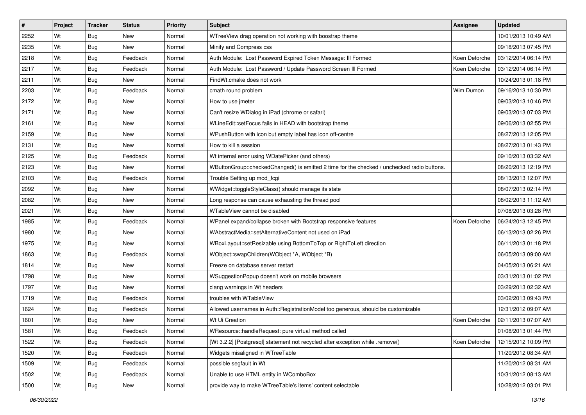| #    | Project | <b>Tracker</b> | <b>Status</b> | <b>Priority</b> | <b>Subject</b>                                                                              | <b>Assignee</b> | <b>Updated</b>      |
|------|---------|----------------|---------------|-----------------|---------------------------------------------------------------------------------------------|-----------------|---------------------|
| 2252 | Wt      | Bug            | New           | Normal          | WTreeView drag operation not working with boostrap theme                                    |                 | 10/01/2013 10:49 AM |
| 2235 | Wt      | Bug            | <b>New</b>    | Normal          | Minify and Compress css                                                                     |                 | 09/18/2013 07:45 PM |
| 2218 | Wt      | Bug            | Feedback      | Normal          | Auth Module: Lost Password Expired Token Message: III Formed                                | Koen Deforche   | 03/12/2014 06:14 PM |
| 2217 | Wt      | <b>Bug</b>     | Feedback      | Normal          | Auth Module: Lost Password / Update Password Screen III Formed                              | Koen Deforche   | 03/12/2014 06:14 PM |
| 2211 | Wt      | Bug            | New           | Normal          | FindWt.cmake does not work                                                                  |                 | 10/24/2013 01:18 PM |
| 2203 | Wt      | <b>Bug</b>     | Feedback      | Normal          | cmath round problem                                                                         | Wim Dumon       | 09/16/2013 10:30 PM |
| 2172 | Wt      | Bug            | New           | Normal          | How to use jmeter                                                                           |                 | 09/03/2013 10:46 PM |
| 2171 | Wt      | <b>Bug</b>     | <b>New</b>    | Normal          | Can't resize WDialog in iPad (chrome or safari)                                             |                 | 09/03/2013 07:03 PM |
| 2161 | Wt      | <b>Bug</b>     | <b>New</b>    | Normal          | WLineEdit::setFocus fails in HEAD with bootstrap theme                                      |                 | 09/06/2013 02:55 PM |
| 2159 | Wt      | Bug            | <b>New</b>    | Normal          | WPushButton with icon but empty label has icon off-centre                                   |                 | 08/27/2013 12:05 PM |
| 2131 | Wt      | <b>Bug</b>     | New           | Normal          | How to kill a session                                                                       |                 | 08/27/2013 01:43 PM |
| 2125 | Wt      | Bug            | Feedback      | Normal          | Wt internal error using WDatePicker (and others)                                            |                 | 09/10/2013 03:32 AM |
| 2123 | Wt      | Bug            | <b>New</b>    | Normal          | WButtonGroup::checkedChanged() is emitted 2 time for the checked / unchecked radio buttons. |                 | 08/20/2013 12:19 PM |
| 2103 | Wt      | Bug            | Feedback      | Normal          | Trouble Setting up mod_fcgi                                                                 |                 | 08/13/2013 12:07 PM |
| 2092 | Wt      | <b>Bug</b>     | <b>New</b>    | Normal          | WWidget::toggleStyleClass() should manage its state                                         |                 | 08/07/2013 02:14 PM |
| 2082 | Wt      | Bug            | New           | Normal          | Long response can cause exhausting the thread pool                                          |                 | 08/02/2013 11:12 AM |
| 2021 | Wt      | <b>Bug</b>     | <b>New</b>    | Normal          | WTableView cannot be disabled                                                               |                 | 07/08/2013 03:28 PM |
| 1985 | Wt      | Bug            | Feedback      | Normal          | WPanel expand/collapse broken with Bootstrap responsive features                            | Koen Deforche   | 06/24/2013 12:45 PM |
| 1980 | Wt      | <b>Bug</b>     | New           | Normal          | WAbstractMedia::setAlternativeContent not used on iPad                                      |                 | 06/13/2013 02:26 PM |
| 1975 | Wt      | <b>Bug</b>     | <b>New</b>    | Normal          | WBoxLayout::setResizable using BottomToTop or RightToLeft direction                         |                 | 06/11/2013 01:18 PM |
| 1863 | Wt      | Bug            | Feedback      | Normal          | WObject::swapChildren(WObject *A, WObject *B)                                               |                 | 06/05/2013 09:00 AM |
| 1814 | Wt      | <b>Bug</b>     | <b>New</b>    | Normal          | Freeze on database server restart                                                           |                 | 04/05/2013 06:21 AM |
| 1798 | Wt      | Bug            | <b>New</b>    | Normal          | WSuggestionPopup doesn't work on mobile browsers                                            |                 | 03/31/2013 01:02 PM |
| 1797 | Wt      | <b>Bug</b>     | New           | Normal          | clang warnings in Wt headers                                                                |                 | 03/29/2013 02:32 AM |
| 1719 | Wt      | <b>Bug</b>     | Feedback      | Normal          | troubles with WTableView                                                                    |                 | 03/02/2013 09:43 PM |
| 1624 | Wt      | Bug            | Feedback      | Normal          | Allowed usernames in Auth::RegistrationModel too generous, should be customizable           |                 | 12/31/2012 09:07 AM |
| 1601 | Wt      | Bug            | New           | Normal          | Wt Ui Creation                                                                              | Koen Deforche   | 02/11/2013 07:07 AM |
| 1581 | Wt      | Bug            | Feedback      | Normal          | WResource::handleRequest: pure virtual method called                                        |                 | 01/08/2013 01:44 PM |
| 1522 | Wt      | Bug            | Feedback      | Normal          | [Wt 3.2.2] [Postgresql] statement not recycled after exception while .remove()              | Koen Deforche   | 12/15/2012 10:09 PM |
| 1520 | Wt      | <b>Bug</b>     | Feedback      | Normal          | Widgets misaligned in WTreeTable                                                            |                 | 11/20/2012 08:34 AM |
| 1509 | Wt      | Bug            | Feedback      | Normal          | possible segfault in Wt                                                                     |                 | 11/20/2012 08:31 AM |
| 1502 | Wt      | <b>Bug</b>     | Feedback      | Normal          | Unable to use HTML entity in WComboBox                                                      |                 | 10/31/2012 08:13 AM |
| 1500 | Wt      | Bug            | New           | Normal          | provide way to make WTreeTable's items' content selectable                                  |                 | 10/28/2012 03:01 PM |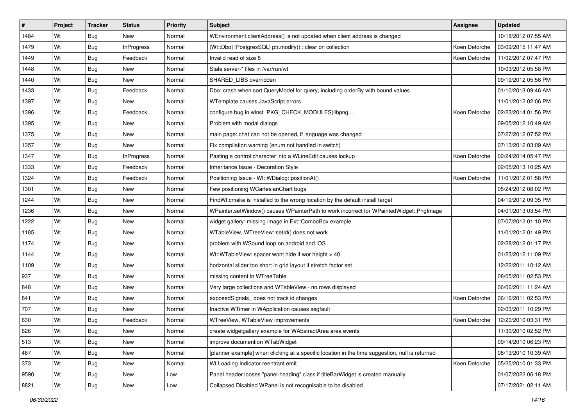| #    | Project | <b>Tracker</b> | <b>Status</b>     | <b>Priority</b> | <b>Subject</b>                                                                                  | <b>Assignee</b> | <b>Updated</b>      |
|------|---------|----------------|-------------------|-----------------|-------------------------------------------------------------------------------------------------|-----------------|---------------------|
| 1484 | Wt      | <b>Bug</b>     | New               | Normal          | WEnvironment.clientAddress() is not updated when client address is changed                      |                 | 10/18/2012 07:55 AM |
| 1479 | Wt      | Bug            | InProgress        | Normal          | [Wt::Dbo] [PostgresSQL] ptr.modify() : clear on collection                                      | Koen Deforche   | 03/09/2015 11:47 AM |
| 1449 | Wt      | Bug            | Feedback          | Normal          | Invalid read of size 8                                                                          | Koen Deforche   | 11/02/2012 07:47 PM |
| 1448 | Wt      | Bug            | New               | Normal          | Stale server-* files in /var/run/wt                                                             |                 | 10/03/2012 05:58 PM |
| 1440 | Wt      | Bug            | New               | Normal          | SHARED_LIBS overridden                                                                          |                 | 09/19/2012 05:56 PM |
| 1433 | Wt      | <b>Bug</b>     | Feedback          | Normal          | Dbo: crash when sort QueryModel for query, including orderBy with bound values                  |                 | 01/10/2013 09:46 AM |
| 1397 | Wt      | Bug            | New               | Normal          | WTemplate causes JavaScript errors                                                              |                 | 11/01/2012 02:06 PM |
| 1396 | Wt      | Bug            | Feedback          | Normal          | configure bug in winst PKG_CHECK_MODULES(libpng                                                 | Koen Deforche   | 02/23/2014 01:56 PM |
| 1395 | Wt      | Bug            | New               | Normal          | Problem with modal dialogs                                                                      |                 | 09/05/2012 10:49 AM |
| 1375 | Wt      | Bug            | <b>New</b>        | Normal          | main page: chat can not be opened, if language was changed                                      |                 | 07/27/2012 07:52 PM |
| 1357 | Wt      | <b>Bug</b>     | New               | Normal          | Fix compilation warning (enum not handled in switch)                                            |                 | 07/13/2012 03:09 AM |
| 1347 | Wt      | <b>Bug</b>     | <b>InProgress</b> | Normal          | Pasting a control character into a WLineEdit causes lockup                                      | Koen Deforche   | 02/24/2014 05:47 PM |
| 1333 | Wt      | Bug            | Feedback          | Normal          | Inheritance Issue - Decoration Style                                                            |                 | 02/05/2013 10:25 AM |
| 1324 | Wt      | Bug            | Feedback          | Normal          | Positioning Issue - Wt::WDialog::positionAt()                                                   | Koen Deforche   | 11/01/2012 01:58 PM |
| 1301 | Wt      | <b>Bug</b>     | New               | Normal          | Few positioning WCartesianChart bugs                                                            |                 | 05/24/2012 08:02 PM |
| 1244 | Wt      | <b>Bug</b>     | New               | Normal          | FindWt.cmake is installed to the wrong location by the default install target                   |                 | 04/19/2012 09:35 PM |
| 1236 | Wt      | Bug            | <b>New</b>        | Normal          | WPainter.setWindow() causes WPainterPath to work incorrect for WPaintedWidget::PngImage         |                 | 04/01/2013 03:54 PM |
| 1222 | Wt      | Bug            | New               | Normal          | widget gallery: missing image in Ext::ComboBox example                                          |                 | 07/07/2012 01:10 PM |
| 1185 | Wt      | <b>Bug</b>     | New               | Normal          | WTableView, WTreeView::setId() does not work                                                    |                 | 11/01/2012 01:49 PM |
| 1174 | Wt      | Bug            | New               | Normal          | problem with WSound loop on android and iOS                                                     |                 | 02/28/2012 01:17 PM |
| 1144 | Wt      | Bug            | New               | Normal          | Wt::WTableView: spacer wont hide if wor height > 40                                             |                 | 01/23/2012 11:09 PM |
| 1109 | Wt      | Bug            | New               | Normal          | horizontal slider too short in grid layout if stretch factor set                                |                 | 12/22/2011 10:12 AM |
| 937  | Wt      | Bug            | New               | Normal          | missing content in WTreeTable                                                                   |                 | 08/05/2011 02:53 PM |
| 848  | Wt      | <b>Bug</b>     | New               | Normal          | Very large collections and WTableView - no rows displayed                                       |                 | 06/06/2011 11:24 AM |
| 841  | Wt      | Bug            | New               | Normal          | exposedSignals_does not track id changes                                                        | Koen Deforche   | 06/16/2011 02:53 PM |
| 707  | Wt      | Bug            | New               | Normal          | Inactive WTimer in WApplication causes segfault                                                 |                 | 02/03/2011 10:29 PM |
| 630  | Wt      | Bug            | Feedback          | Normal          | WTreeView, WTableView improvements                                                              | Koen Deforche   | 12/20/2010 03:31 PM |
| 626  | Wt      | <b>Bug</b>     | New               | Normal          | create widgetgallery example for WAbstractArea area events                                      |                 | 11/30/2010 02:52 PM |
| 513  | Wt      | Bug            | New               | Normal          | improve documention WTabWidget                                                                  |                 | 09/14/2010 06:23 PM |
| 467  | Wt      | <b>Bug</b>     | New               | Normal          | [planner example] when clicking at a specific location in the time suggestion, null is returned |                 | 08/13/2010 10:39 AM |
| 373  | Wt      | Bug            | New               | Normal          | Wt Loading Indicator reentrant emit                                                             | Koen Deforche   | 05/25/2010 01:33 PM |
| 9590 | Wt      | <b>Bug</b>     | New               | Low             | Panel header looses "panel-heading" class if titleBarWidget is created manually                 |                 | 01/07/2022 06:18 PM |
| 8821 | Wt      | Bug            | New               | Low             | Collapsed Disabled WPanel is not recognisable to be disabled                                    |                 | 07/17/2021 02:11 AM |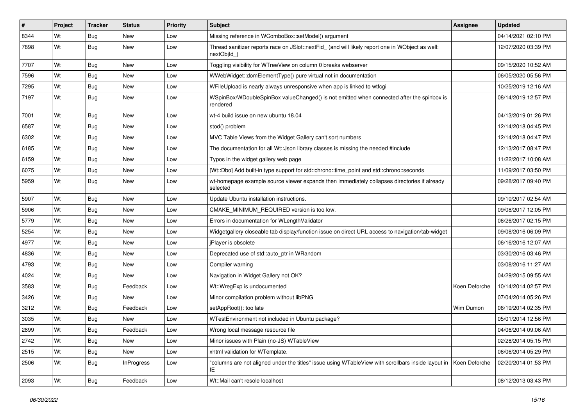| #    | Project | <b>Tracker</b> | <b>Status</b>     | <b>Priority</b> | <b>Subject</b>                                                                                                           | <b>Assignee</b> | <b>Updated</b>      |
|------|---------|----------------|-------------------|-----------------|--------------------------------------------------------------------------------------------------------------------------|-----------------|---------------------|
| 8344 | Wt      | Bug            | New               | Low             | Missing reference in WComboBox::setModel() argument                                                                      |                 | 04/14/2021 02:10 PM |
| 7898 | Wt      | Bug            | New               | Low             | Thread sanitizer reports race on JSlot::nextFid_ (and will likely report one in WObject as well:<br>nextObjId )          |                 | 12/07/2020 03:39 PM |
| 7707 | Wt      | Bug            | <b>New</b>        | Low             | Toggling visibility for WTreeView on column 0 breaks webserver                                                           |                 | 09/15/2020 10:52 AM |
| 7596 | Wt      | Bug            | <b>New</b>        | Low             | WWebWidget::domElementType() pure virtual not in documentation                                                           |                 | 06/05/2020 05:56 PM |
| 7295 | Wt      | Bug            | <b>New</b>        | Low             | WFileUpload is nearly always unresponsive when app is linked to wtfcgi                                                   |                 | 10/25/2019 12:16 AM |
| 7197 | Wt      | Bug            | New               | Low             | WSpinBox/WDoubleSpinBox valueChanged() is not emitted when connected after the spinbox is<br>rendered                    |                 | 08/14/2019 12:57 PM |
| 7001 | Wt      | Bug            | <b>New</b>        | Low             | wt-4 build issue on new ubuntu 18.04                                                                                     |                 | 04/13/2019 01:26 PM |
| 6587 | Wt      | Bug            | <b>New</b>        | Low             | stod() problem                                                                                                           |                 | 12/14/2018 04:45 PM |
| 6302 | Wt      | <b>Bug</b>     | New               | Low             | MVC Table Views from the Widget Gallery can't sort numbers                                                               |                 | 12/14/2018 04:47 PM |
| 6185 | Wt      | Bug            | <b>New</b>        | Low             | The documentation for all Wt:: Json library classes is missing the needed #include                                       |                 | 12/13/2017 08:47 PM |
| 6159 | Wt      | Bug            | <b>New</b>        | Low             | Typos in the widget gallery web page                                                                                     |                 | 11/22/2017 10:08 AM |
| 6075 | Wt      | <b>Bug</b>     | New               | Low             | [Wt::Dbo] Add built-in type support for std::chrono::time_point and std::chrono::seconds                                 |                 | 11/09/2017 03:50 PM |
| 5959 | Wt      | Bug            | New               | Low             | wt-homepage example source viewer expands then immediately collapses directories if already<br>selected                  |                 | 09/28/2017 09:40 PM |
| 5907 | Wt      | Bug            | <b>New</b>        | Low             | Update Ubuntu installation instructions.                                                                                 |                 | 09/10/2017 02:54 AM |
| 5906 | Wt      | Bug            | <b>New</b>        | Low             | CMAKE MINIMUM REQUIRED version is too low.                                                                               |                 | 09/08/2017 12:05 PM |
| 5779 | Wt      | Bug            | New               | Low             | Errors in documentation for WLengthValidator                                                                             |                 | 06/26/2017 02:15 PM |
| 5254 | Wt      | Bug            | <b>New</b>        | Low             | Widgetgallery closeable tab display/function issue on direct URL access to navigation/tab-widget                         |                 | 09/08/2016 06:09 PM |
| 4977 | Wt      | Bug            | <b>New</b>        | Low             | jPlayer is obsolete                                                                                                      |                 | 06/16/2016 12:07 AM |
| 4836 | Wt      | Bug            | New               | Low             | Deprecated use of std::auto_ptr in WRandom                                                                               |                 | 03/30/2016 03:46 PM |
| 4793 | Wt      | Bug            | <b>New</b>        | Low             | Compiler warning                                                                                                         |                 | 03/08/2016 11:27 AM |
| 4024 | Wt      | Bug            | New               | Low             | Navigation in Widget Gallery not OK?                                                                                     |                 | 04/29/2015 09:55 AM |
| 3583 | Wt      | Bug            | Feedback          | Low             | Wt::WregExp is undocumented                                                                                              | Koen Deforche   | 10/14/2014 02:57 PM |
| 3426 | Wt      | Bug            | <b>New</b>        | Low             | Minor compilation problem without libPNG                                                                                 |                 | 07/04/2014 05:26 PM |
| 3212 | Wt      | Bug            | Feedback          | Low             | setAppRoot(): too late                                                                                                   | Wim Dumon       | 06/19/2014 02:35 PM |
| 3035 | Wt      | Bug            | New               | Low             | WTestEnvironment not included in Ubuntu package?                                                                         |                 | 05/01/2014 12:56 PM |
| 2899 | Wt      | Bug            | Feedback          | Low             | Wrong local message resource file                                                                                        |                 | 04/06/2014 09:06 AM |
| 2742 | Wt      | <b>Bug</b>     | New               | Low             | Minor issues with Plain (no-JS) WTableView                                                                               |                 | 02/28/2014 05:15 PM |
| 2515 | Wt      | <b>Bug</b>     | New               | Low             | xhtml validation for WTemplate.                                                                                          |                 | 06/06/2014 05:29 PM |
| 2506 | Wt      | Bug            | <b>InProgress</b> | Low             | "columns are not aligned under the titles" issue using WTableView with scrollbars inside layout in   Koen Deforche<br>IE |                 | 02/20/2014 01:53 PM |
| 2093 | Wt      | <b>Bug</b>     | Feedback          | Low             | Wt::Mail can't resole localhost                                                                                          |                 | 08/12/2013 03:43 PM |